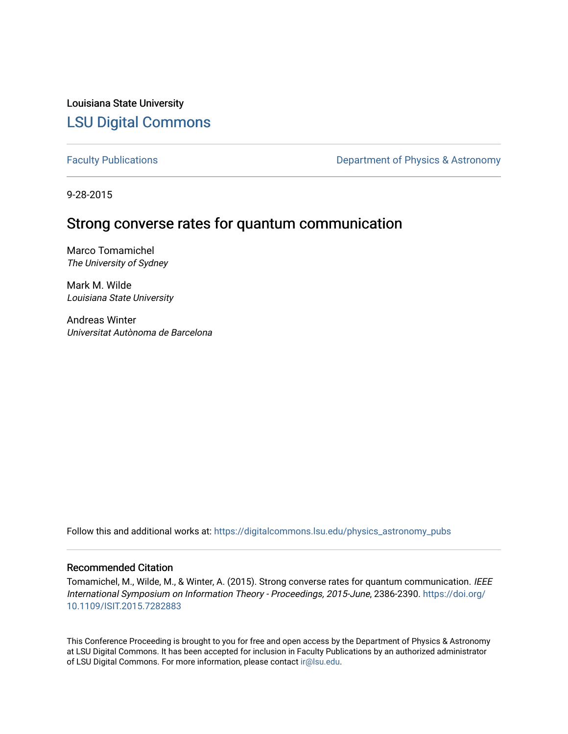Louisiana State University [LSU Digital Commons](https://digitalcommons.lsu.edu/)

[Faculty Publications](https://digitalcommons.lsu.edu/physics_astronomy_pubs) **Exercise 2** Constant Department of Physics & Astronomy

9-28-2015

# Strong converse rates for quantum communication

Marco Tomamichel The University of Sydney

Mark M. Wilde Louisiana State University

Andreas Winter Universitat Autònoma de Barcelona

Follow this and additional works at: [https://digitalcommons.lsu.edu/physics\\_astronomy\\_pubs](https://digitalcommons.lsu.edu/physics_astronomy_pubs?utm_source=digitalcommons.lsu.edu%2Fphysics_astronomy_pubs%2F5683&utm_medium=PDF&utm_campaign=PDFCoverPages) 

# Recommended Citation

Tomamichel, M., Wilde, M., & Winter, A. (2015). Strong converse rates for quantum communication. IEEE International Symposium on Information Theory - Proceedings, 2015-June, 2386-2390. [https://doi.org/](https://doi.org/10.1109/ISIT.2015.7282883) [10.1109/ISIT.2015.7282883](https://doi.org/10.1109/ISIT.2015.7282883) 

This Conference Proceeding is brought to you for free and open access by the Department of Physics & Astronomy at LSU Digital Commons. It has been accepted for inclusion in Faculty Publications by an authorized administrator of LSU Digital Commons. For more information, please contact [ir@lsu.edu](mailto:ir@lsu.edu).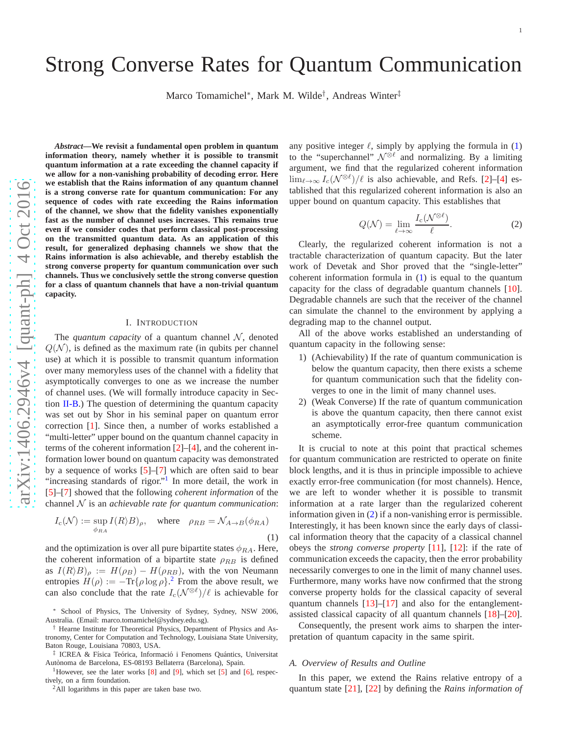# Strong Converse Rates for Quantum Communication

Marco Tomamichel\*, Mark M. Wilde<sup>†</sup>, Andreas Winter<sup>‡</sup>

arXiv:1406.2946v4 [quant-ph] 4 Oct 2016 [arXiv:1406.2946v4 \[quant-ph\] 4 Oct 2016](http://arxiv.org/abs/1406.2946v4)

*Abstract***—We revisit a fundamental open problem in quantum information theory, namely whether it is possible to transmit quantum information at a rate exceeding the channel capacity if we allow for a non-vanishing probability of decoding error. Here we establish that the Rains information of any quantum channel is a strong converse rate for quantum communication: For any sequence of codes with rate exceeding the Rains information of the channel, we show that the fidelity vanishes exponentially fast as the number of channel uses increases. This remains true even if we consider codes that perform classical post-processing on the transmitted quantum data. As an application of this result, for generalized dephasing channels we show that the Rains information is also achievable, and thereby establish the strong converse property for quantum communication over such channels. Thus we conclusively settle the strong converse question for a class of quantum channels that have a non-trivial quantum capacity.**

## I. INTRODUCTION

The *quantum capacity* of a quantum channel  $\mathcal{N}$ , denoted  $Q(N)$ , is defined as the maximum rate (in qubits per channel use) at which it is possible to transmit quantum information over many memoryless uses of the channel with a fidelity that asymptotically converges to one as we increase the number of channel uses. (We will formally introduce capacity in Sec tion  $II-B$ .) The question of determining the quantum capacity was set out by Shor in his seminal paper on quantum error correction [ [1\]](#page-12-0). Since then, a number of works established a "multi-letter" upper bound on the quantum channel capacity in terms of the coherent information [ [2\]](#page-12-1)–[ [4\]](#page-12-2), and the coherent information lower bound on quantum capacity was demonstrated by a sequence of works [ [5\]](#page-12-3)–[ [7\]](#page-12-4) which are often said to bear "increasing standards of rigor."<sup>[1](#page-1-0)</sup> In more detail, the work in [ [5\]](#page-12-3)–[ [7\]](#page-12-4) showed that the following *coherent information* of the channel N is an *achievable rate for quantum communication* :

$$
I_{c}(\mathcal{N}) := \sup_{\phi_{RA}} I(R \rangle B)_{\rho}, \quad \text{where} \quad \rho_{RB} = \mathcal{N}_{A \to B}(\phi_{RA})
$$
\n(1)

and the optimization is over all pure bipartite states  $\phi_{RA}$ . Here, the coherent information of a bipartite state  $\rho_{RB}$  is defined as  $I(R \mid B)_{\rho} := H(\rho_B) - H(\rho_{RB})$ , with the von Neumann entropies  $H(\rho) := -\text{Tr}\{\rho \log \rho\}^2$  $H(\rho) := -\text{Tr}\{\rho \log \rho\}^2$ . From the above result, we can also conclude that the rate  $I_c(\mathcal{N}^{\otimes \ell})/\ell$  is achievable for

<sup>1</sup>However, see the later works [\[8\]](#page-12-5) and [\[9\]](#page-12-6), which set [\[5\]](#page-12-3) and [[6\]](#page-12-7), respectively, on a firm foundation.

<span id="page-1-1"></span><span id="page-1-0"></span><sup>2</sup>All logarithms in this paper are taken base two.

any positive integer  $\ell$ , simply by applying the formula in  $(1)$  $(1)$  $(1)$ to the "superchannel"  $\mathcal{N}^{\otimes \ell}$  and normalizing. By a limiting argument, we find that the regularized coherent information  $\lim_{\ell \to \infty} I_c(\mathcal{N}^{\otimes \ell})/\ell$  is also achievable, and Refs. [[2\]](#page-12-1)–[[4\]](#page-12-2) established that this regularized coherent information is also an upper bound on quantum capacity. This establishes that

<span id="page-1-3"></span>
$$
Q(\mathcal{N}) = \lim_{\ell \to \infty} \frac{I_c(\mathcal{N}^{\otimes \ell})}{\ell}.
$$
 (2)

Clearly, the regularized coherent information is not a tractable characterization of quantum capacity. But the later work of Devetak and Shor proved that the "single-letter" coherent information formula in ( [1\)](#page-1-2) is equal to the quantum capacity for the class of degradable quantum channels [\[10\]](#page-12-8). Degradable channels are such that the receiver of the channe l can simulate the channel to the environment by applying a degrading map to the channel output.

All of the above works established an understanding of quantum capacity in the following sense:

- 1) (Achievability) If the rate of quantum communication is below the quantum capacity, then there exists a scheme for quantum communication such that the fidelity converges to one in the limit of many channel uses.
- 2) (Weak Converse) If the rate of quantum communication is above the quantum capacity, then there cannot exist an asymptotically error-free quantum communication scheme.

<span id="page-1-2"></span>It is crucial to note at this point that practical schemes for quantum communication are restricted to operate on finit e block lengths, and it is thus in principle impossible to achieve exactly error-free communication (for most channels). Hence, we are left to wonder whether it is possible to transmit information at a rate larger than the regularized coherent information given in ( [2\)](#page-1-3) if a non-vanishing error is permissible. Interestingly, it has been known since the early days of classical information theory that the capacity of a classical channel obeys the *strong converse property* [\[11\]](#page-12-9), [\[12\]](#page-12-10): if the rate of communication exceeds the capacity, then the error probability necessarily converges to one in the limit of many channel uses. Furthermore, many works have now confirmed that the strong converse property holds for the classical capacity of several quantum channels  $[13]$ – $[17]$  and also for the entanglementassisted classical capacity of all quantum channels [\[18\]](#page-12-13)–[\[20\]](#page-12-14).

Consequently, the present work aims to sharpen the interpretation of quantum capacity in the same spirit.

#### *A. Overview of Results and Outline*

In this paper, we extend the Rains relative entropy of a quantum state [\[21\]](#page-12-15), [\[22\]](#page-12-16) by defining the *Rains information of*

School of Physics, The University of Sydney, Sydney, NSW 2006, Australia. (Email: marco.tomamichel@sydney.edu.sg).

<sup>†</sup> Hearne Institute for Theoretical Physics, Department of Physics and Astronomy, Center for Computation and Technology, Louisiana State University, Baton Rouge, Louisiana 70803, USA.

<sup>&</sup>lt;sup>‡</sup> ICREA & Física Teórica, Informació i Fenomens Quántics, Universitat Autònoma de Barcelona, ES-08193 Bellaterra (Barcelona), Spain.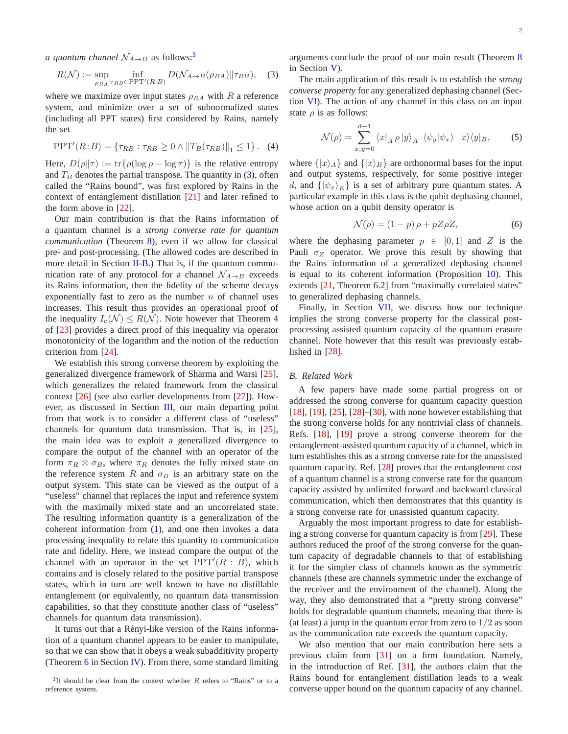*a quantum channel*  $\mathcal{N}_{A\rightarrow B}$  as follows:<sup>[3](#page-2-0)</sup>

$$
R(\mathcal{N}) := \sup_{\rho_{RA}} \inf_{\tau_{RB} \in \text{PPT}'(R:B)} D(\mathcal{N}_{A \to B}(\rho_{RA}) || \tau_{RB}), \quad (3)
$$

where we maximize over input states  $\rho_{RA}$  with R a reference system, and minimize over a set of subnormalized states (including all PPT states) first considered by Rains, namely the set

$$
PPT'(R:B) = \{\tau_{RB} : \tau_{RB} \ge 0 \land ||T_B(\tau_{RB})||_1 \le 1\}.
$$
 (4)

Here,  $D(\rho||\tau) := \text{tr}\{\rho(\log \rho - \log \tau)\}\$ is the relative entropy and  $T_B$  denotes the partial transpose. The quantity in [\(3\)](#page-2-1), often called the "Rains bound", was first explored by Rains in the context of entanglement distillation [\[21\]](#page-12-15) and later refined to the form above in [\[22\]](#page-12-16).

Our main contribution is that the Rains information of a quantum channel is a *strong converse rate for quantum communication* (Theorem [8\)](#page-8-0), even if we allow for classical pre- and post-processing. (The allowed codes are described in more detail in Section [II-B.](#page-3-0)) That is, if the quantum communication rate of any protocol for a channel  $\mathcal{N}_{A\rightarrow B}$  exceeds its Rains information, then the fidelity of the scheme decays exponentially fast to zero as the number  $n$  of channel uses increases. This result thus provides an operational proof of the inequality  $I_c(\mathcal{N}) \leq R(\mathcal{N})$ . Note however that Theorem 4 of [\[23\]](#page-12-17) provides a direct proof of this inequality via operator monotonicity of the logarithm and the notion of the reduction criterion from [\[24\]](#page-12-18).

We establish this strong converse theorem by exploiting the generalized divergence framework of Sharma and Warsi [\[25\]](#page-12-19), which generalizes the related framework from the classical context [\[26\]](#page-12-20) (see also earlier developments from [\[27\]](#page-12-21)). However, as discussed in Section [III,](#page-4-0) our main departing point from that work is to consider a different class of "useless" channels for quantum data transmission. That is, in [\[25\]](#page-12-19), the main idea was to exploit a generalized divergence to compare the output of the channel with an operator of the form  $\pi_R \otimes \sigma_B$ , where  $\pi_R$  denotes the fully mixed state on the reference system R and  $\sigma_B$  is an arbitrary state on the output system. This state can be viewed as the output of a "useless" channel that replaces the input and reference system with the maximally mixed state and an uncorrelated state. The resulting information quantity is a generalization of the coherent information from [\(1\)](#page-1-2), and one then invokes a data processing inequality to relate this quantity to communication rate and fidelity. Here, we instead compare the output of the channel with an operator in the set  $PPT'(R : B)$ , which contains and is closely related to the positive partial transpose states, which in turn are well known to have no distillable entanglement (or equivalently, no quantum data transmission capabilities, so that they constitute another class of "useless" channels for quantum data transmission).

It turns out that a Rényi-like version of the Rains information of a quantum channel appears to be easier to manipulate, so that we can show that it obeys a weak subadditivity property (Theorem  $6$  in Section [IV\)](#page-7-1). From there, some standard limiting <span id="page-2-1"></span>arguments conclude the proof of our main result (Theorem [8](#page-8-0) in Section [V\)](#page-8-1).

The main application of this result is to establish the *strong converse property* for any generalized dephasing channel (Section [VI\)](#page-9-0). The action of any channel in this class on an input state  $\rho$  is as follows:

$$
\mathcal{N}(\rho) = \sum_{x,y=0}^{d-1} \langle x |_{A} \rho | y \rangle_{A} \langle \psi_{y} | \psi_{x} \rangle | x \rangle \langle y |_{B}, \quad (5)
$$

where  $\{|x\rangle_A\}$  and  $\{|x\rangle_B\}$  are orthonormal bases for the input and output systems, respectively, for some positive integer d, and  $\{\ket{\psi_x}_{E}\}\$ is a set of arbitrary pure quantum states. A particular example in this class is the qubit dephasing channel, whose action on a qubit density operator is

$$
\mathcal{N}(\rho) = (1 - p)\,\rho + pZ\rho Z,\tag{6}
$$

where the dephasing parameter  $p \in [0,1]$  and Z is the Pauli  $\sigma_Z$  operator. We prove this result by showing that the Rains information of a generalized dephasing channel is equal to its coherent information (Proposition [10\)](#page-9-1). This extends [\[21,](#page-12-15) Theorem 6.2] from "maximally correlated states" to generalized dephasing channels.

Finally, in Section [VII,](#page-10-0) we discuss how our technique implies the strong converse property for the classical postprocessing assisted quantum capacity of the quantum erasure channel. Note however that this result was previously established in [\[28\]](#page-12-22).

#### *B. Related Work*

A few papers have made some partial progress on or addressed the strong converse for quantum capacity question [\[18\]](#page-12-13), [\[19\]](#page-12-23), [\[25\]](#page-12-19), [\[28\]](#page-12-22)–[\[30\]](#page-12-24), with none however establishing that the strong converse holds for any nontrivial class of channels. Refs. [\[18\]](#page-12-13), [\[19\]](#page-12-23) prove a strong converse theorem for the entanglement-assisted quantum capacity of a channel, which in turn establishes this as a strong converse rate for the unassisted quantum capacity. Ref. [\[28\]](#page-12-22) proves that the entanglement cost of a quantum channel is a strong converse rate for the quantum capacity assisted by unlimited forward and backward classical communication, which then demonstrates that this quantity is a strong converse rate for unassisted quantum capacity.

Arguably the most important progress to date for establishing a strong converse for quantum capacity is from [\[29\]](#page-12-25). These authors reduced the proof of the strong converse for the quantum capacity of degradable channels to that of establishing it for the simpler class of channels known as the symmetric channels (these are channels symmetric under the exchange of the receiver and the environment of the channel). Along the way, they also demonstrated that a "pretty strong converse" holds for degradable quantum channels, meaning that there is (at least) a jump in the quantum error from zero to  $1/2$  as soon as the communication rate exceeds the quantum capacity.

We also mention that our main contribution here sets a previous claim from [\[31\]](#page-12-26) on a firm foundation. Namely, in the introduction of Ref. [\[31\]](#page-12-26), the authors claim that the Rains bound for entanglement distillation leads to a weak converse upper bound on the quantum capacity of any channel.

<span id="page-2-0"></span> $3$ It should be clear from the context whether R refers to "Rains" or to a reference system.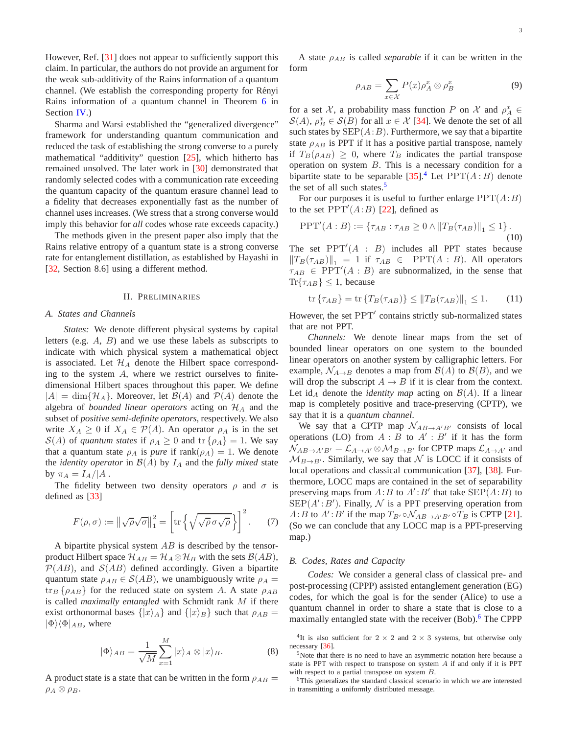However, Ref. [\[31\]](#page-12-26) does not appear to sufficiently support this claim. In particular, the authors do not provide an argument for the weak sub-additivity of the Rains information of a quantum channel. (We establish the corresponding property for Rényi Rains information of a quantum channel in Theorem [6](#page-7-0) in Section [IV.](#page-7-1))

Sharma and Warsi established the "generalized divergence" framework for understanding quantum communication and reduced the task of establishing the strong converse to a purely mathematical "additivity" question [\[25\]](#page-12-19), which hitherto has remained unsolved. The later work in [\[30\]](#page-12-24) demonstrated that randomly selected codes with a communication rate exceeding the quantum capacity of the quantum erasure channel lead to a fidelity that decreases exponentially fast as the number of channel uses increases. (We stress that a strong converse would imply this behavior for *all* codes whose rate exceeds capacity.)

The methods given in the present paper also imply that the Rains relative entropy of a quantum state is a strong converse rate for entanglement distillation, as established by Hayashi in [\[32,](#page-12-27) Section 8.6] using a different method.

### II. PRELIMINARIES

#### *A. States and Channels*

*States:* We denote different physical systems by capital letters (e.g. A, B) and we use these labels as subscripts to indicate with which physical system a mathematical object is associated. Let  $\mathcal{H}_A$  denote the Hilbert space corresponding to the system A, where we restrict ourselves to finitedimensional Hilbert spaces throughout this paper. We define  $|A| = \dim\{\mathcal{H}_A\}$ . Moreover, let  $\mathcal{B}(A)$  and  $\mathcal{P}(A)$  denote the algebra of *bounded linear operators* acting on  $H_A$  and the subset of *positive semi-definite operators*, respectively. We also write  $X_A \geq 0$  if  $X_A \in \mathcal{P}(A)$ . An operator  $\rho_A$  is in the set  $S(A)$  of *quantum states* if  $\rho_A \geq 0$  and  $\text{tr} \{\rho_A\} = 1$ . We say that a quantum state  $\rho_A$  is *pure* if rank $(\rho_A) = 1$ . We denote the *identity operator* in  $\mathcal{B}(A)$  by  $I_A$  and the *fully mixed* state by  $\pi_A = I_A/|A|$ .

The fidelity between two density operators  $\rho$  and  $\sigma$  is defined as [\[33\]](#page-12-28)

$$
F(\rho, \sigma) := \left\| \sqrt{\rho} \sqrt{\sigma} \right\|_{1}^{2} = \left[ \text{tr} \left\{ \sqrt{\sqrt{\rho} \sigma \sqrt{\rho}} \right\} \right]^{2}.
$$
 (7)

A bipartite physical system  $AB$  is described by the tensorproduct Hilbert space  $\mathcal{H}_{AB} = \mathcal{H}_A \otimes \mathcal{H}_B$  with the sets  $\mathcal{B}(AB)$ ,  $P(AB)$ , and  $S(AB)$  defined accordingly. Given a bipartite quantum state  $\rho_{AB} \in \mathcal{S}(AB)$ , we unambiguously write  $\rho_A =$  $\{ \rho_{AB} \}$  for the reduced state on system A. A state  $\rho_{AB}$ is called *maximally entangled* with Schmidt rank M if there exist orthonormal bases  $\{|x\rangle_A\}$  and  $\{|x\rangle_B\}$  such that  $\rho_{AB} =$  $|\Phi\rangle\langle\Phi|_{AB}$ , where

$$
|\Phi\rangle_{AB} = \frac{1}{\sqrt{M}} \sum_{x=1}^{M} |x\rangle_A \otimes |x\rangle_B.
$$
 (8)

A product state is a state that can be written in the form  $\rho_{AB} =$  $\rho_A \otimes \rho_B$ .

A state  $\rho_{AB}$  is called *separable* if it can be written in the form

$$
\rho_{AB} = \sum_{x \in \mathcal{X}} P(x) \rho_A^x \otimes \rho_B^x \tag{9}
$$

for a set X, a probability mass function P on X and  $\rho_A^x \in$  $\mathcal{S}(A)$ ,  $\rho_B^x \in \mathcal{S}(B)$  for all  $x \in \mathcal{X}$  [\[34\]](#page-12-29). We denote the set of all such states by  $\text{SEP}(A:B)$ . Furthermore, we say that a bipartite state  $\rho_{AB}$  is PPT if it has a positive partial transpose, namely if  $T_B(\rho_{AB}) \geq 0$ , where  $T_B$  indicates the partial transpose operation on system  $B$ . This is a necessary condition for a bipartite state to be separable  $[35]$ .<sup>[4](#page-3-1)</sup> Let  $PPT(A:B)$  denote the set of all such states. $5$ 

For our purposes it is useful to further enlarge  $PPT(A:B)$ to the set  $\overline{PPT}'(A:B)$  [\[22\]](#page-12-16), defined as

$$
PPT'(A:B) := \{ \tau_{AB} : \tau_{AB} \ge 0 \land ||T_B(\tau_{AB})||_1 \le 1 \}.
$$
\n(10)

The set  $PPT'(A : B)$  includes all PPT states because  $||T_B(\tau_{AB})||_1 = 1$  if  $\tau_{AB} \in \text{PPT}(A : B)$ . All operators  $\tau_{AB} \in \text{PPT}'(A : B)$  are subnormalized, in the sense that  $\text{Tr}\{\tau_{AB}\}\leq 1$ , because

$$
\operatorname{tr}\left\{\tau_{AB}\right\} = \operatorname{tr}\left\{T_B(\tau_{AB})\right\} \le \|T_B(\tau_{AB})\|_1 \le 1. \tag{11}
$$

However, the set PPT′ contains strictly sub-normalized states that are not PPT.

*Channels:* We denote linear maps from the set of bounded linear operators on one system to the bounded linear operators on another system by calligraphic letters. For example,  $\mathcal{N}_{A\rightarrow B}$  denotes a map from  $\mathcal{B}(A)$  to  $\mathcal{B}(B)$ , and we will drop the subscript  $A \rightarrow B$  if it is clear from the context. Let id<sub>A</sub> denote the *identity map* acting on  $\mathcal{B}(A)$ . If a linear map is completely positive and trace-preserving (CPTP), we say that it is a *quantum channel*.

We say that a CPTP map  $\mathcal{N}_{AB\rightarrow A'B'}$  consists of local operations (LO) from  $A : B$  to  $A' : B'$  if it has the form  $\mathcal{N}_{AB\rightarrow A'B'} = \mathcal{L}_{A\rightarrow A'} \otimes \mathcal{M}_{B\rightarrow B'}$  for CPTP maps  $\mathcal{L}_{A\rightarrow A'}$  and  $M_{B\rightarrow B'}$ . Similarly, we say that N is LOCC if it consists of local operations and classical communication [\[37\]](#page-12-31), [\[38\]](#page-12-32). Furthermore, LOCC maps are contained in the set of separability preserving maps from  $A:B$  to  $A':B'$  that take  $\text{SEP}(A:B)$  to  $\text{SEP}(A':B')$ . Finally,  $\mathcal N$  is a PPT preserving operation from  $A:B$  to  $A':B'$  if the map  $T_{B'}\circ \mathcal{N}_{AB\rightarrow A'B'}\circ T_B$  is CPTP [\[21\]](#page-12-15). (So we can conclude that any LOCC map is a PPT-preserving map.)

#### <span id="page-3-0"></span>*B. Codes, Rates and Capacity*

*Codes:* We consider a general class of classical pre- and post-processing (CPPP) assisted entanglement generation (EG) codes, for which the goal is for the sender (Alice) to use a quantum channel in order to share a state that is close to a maximally entangled state with the receiver (Bob).<sup>[6](#page-3-3)</sup> The CPPP

<span id="page-3-1"></span><sup>&</sup>lt;sup>4</sup>It is also sufficient for  $2 \times 2$  and  $2 \times 3$  systems, but otherwise only necessary [\[36\]](#page-12-33).

<span id="page-3-2"></span><sup>&</sup>lt;sup>5</sup>Note that there is no need to have an asymmetric notation here because a state is PPT with respect to transpose on system  $A$  if and only if it is PPT with respect to a partial transpose on system B.

<span id="page-3-3"></span><sup>&</sup>lt;sup>6</sup>This generalizes the standard classical scenario in which we are interested in transmitting a uniformly distributed message.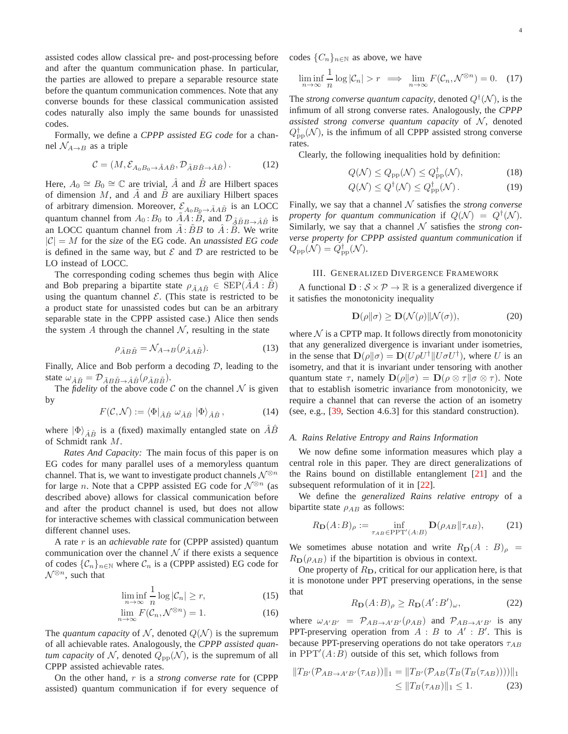assisted codes allow classical pre- and post-processing before and after the quantum communication phase. In particular, the parties are allowed to prepare a separable resource state before the quantum communication commences. Note that any converse bounds for these classical communication assisted codes naturally also imply the same bounds for unassisted codes.

Formally, we define a *CPPP assisted EG code* for a channel  $\mathcal{N}_{A\rightarrow B}$  as a triple

$$
\mathcal{C} = (M, \mathcal{E}_{A_0 B_0 \to \tilde{A} A \tilde{B}}, \mathcal{D}_{\tilde{A} B \tilde{B} \to \hat{A} \hat{B}}). \tag{12}
$$

Here,  $A_0 \cong B_0 \cong \mathbb{C}$  are trivial,  $\hat{A}$  and  $\hat{B}$  are Hilbert spaces of dimension  $M$ , and  $A$  and  $B$  are auxiliary Hilbert spaces of arbitrary dimension. Moreover,  $\mathcal{E}_{A_0B_0 \to \tilde{A}A\tilde{B}}$  is an LOCC quantum channel from  $A_0$ :  $B_0$  to  $\tilde{A}A$ :  $\tilde{B}$ , and  $\mathcal{D}_{\tilde{A}\tilde{B}B\rightarrow \tilde{A}\hat{B}}$  is an LOCC quantum channel from  $\tilde{A}$ :  $\tilde{B}B$  to  $\hat{A}$ :  $\hat{B}$ . We write  $|C| = M$  for the *size* of the EG code. An *unassisted EG code* is defined in the same way, but  $\mathcal E$  and  $\mathcal D$  are restricted to be LO instead of LOCC.

The corresponding coding schemes thus begin with Alice and Bob preparing a bipartite state  $\rho_{\tilde{A}A\tilde{B}} \in \text{SEP}(AA : B)$ using the quantum channel  $\mathcal{E}$ . (This state is restricted to be a product state for unassisted codes but can be an arbitrary separable state in the CPPP assisted case.) Alice then sends the system A through the channel  $N$ , resulting in the state

$$
\rho_{\tilde{A}B\tilde{B}} = \mathcal{N}_{A \to B}(\rho_{\tilde{A}A\tilde{B}}). \tag{13}
$$

Finally, Alice and Bob perform a decoding  $D$ , leading to the state  $\omega_{\hat{A}\hat{B}} = \mathcal{D}_{\tilde{A}B\tilde{B}\rightarrow \hat{A}\hat{B}}(\rho_{\tilde{A}B\tilde{B}}).$ 

The *fidelity* of the above code C on the channel  $\mathcal N$  is given by

$$
F(\mathcal{C},\mathcal{N}) := \langle \Phi |_{\hat{A}\hat{B}} \; \omega_{\hat{A}\hat{B}} \; | \Phi \rangle_{\hat{A}\hat{B}},\tag{14}
$$

where  $|\Phi\rangle_{\hat{A}\hat{B}}$  is a (fixed) maximally entangled state on AB of Schmidt rank M.

*Rates And Capacity:* The main focus of this paper is on EG codes for many parallel uses of a memoryless quantum channel. That is, we want to investigate product channels  $\mathcal{N}^{\otimes n}$ for large n. Note that a CPPP assisted EG code for  $\mathcal{N}^{\otimes n}$  (as described above) allows for classical communication before and after the product channel is used, but does not allow for interactive schemes with classical communication between different channel uses.

A rate r is an *achievable rate* for (CPPP assisted) quantum communication over the channel  $N$  if there exists a sequence of codes  $\{\mathcal{C}_n\}_{n\in\mathbb{N}}$  where  $\mathcal{C}_n$  is a (CPPP assisted) EG code for  $\mathcal{N}^{\otimes n}$ , such that

$$
\liminf_{n \to \infty} \frac{1}{n} \log |\mathcal{C}_n| \ge r,
$$
\n(15)

$$
\lim_{n \to \infty} F(\mathcal{C}_n, \mathcal{N}^{\otimes n}) = 1. \tag{16}
$$

The *quantum capacity* of N, denoted  $Q(N)$  is the supremum of all achievable rates. Analogously, the *CPPP assisted quantum capacity* of N, denoted  $Q_{\text{pp}}(\mathcal{N})$ , is the supremum of all CPPP assisted achievable rates.

On the other hand, r is a *strong converse rate* for (CPPP assisted) quantum communication if for every sequence of codes  $\{C_n\}_{n\in\mathbb{N}}$  as above, we have

$$
\liminf_{n \to \infty} \frac{1}{n} \log |\mathcal{C}_n| > r \implies \lim_{n \to \infty} F(\mathcal{C}_n, \mathcal{N}^{\otimes n}) = 0. \quad (17)
$$

The *strong converse quantum capacity*, denoted  $Q^{\dagger}(\mathcal{N})$ , is the infimum of all strong converse rates. Analogously, the *CPPP assisted strong converse quantum capacity* of  $N$ , denoted  $Q_{\rm pp}^{\dagger}(\mathcal{N})$ , is the infimum of all CPPP assisted strong converse rates.

<span id="page-4-1"></span>Clearly, the following inequalities hold by definition:

$$
Q(\mathcal{N}) \le Q_{\rm pp}(\mathcal{N}) \le Q_{\rm pp}^{\dagger}(\mathcal{N}),\tag{18}
$$

$$
Q(\mathcal{N}) \le Q^{\dagger}(\mathcal{N}) \le Q^{\dagger}_{\text{pp}}(\mathcal{N}). \tag{19}
$$

Finally, we say that a channel  $N$  satisfies the *strong converse property for quantum communication* if  $Q(\mathcal{N}) = Q^{\dagger}(\mathcal{N})$ . Similarly, we say that a channel  $N$  satisfies the *strong converse property for CPPP assisted quantum communication* if  $Q_{\rm pp}(\mathcal{N}) = Q_{\rm pp}^{\dagger}(\mathcal{N}).$ 

#### <span id="page-4-0"></span>III. GENERALIZED DIVERGENCE FRAMEWORK

A functional  $\mathbf{D}: \mathcal{S} \times \mathcal{P} \to \mathbb{R}$  is a generalized divergence if it satisfies the monotonicity inequality

$$
\mathbf{D}(\rho \| \sigma) \ge \mathbf{D}(\mathcal{N}(\rho) \| \mathcal{N}(\sigma)),\tag{20}
$$

<span id="page-4-2"></span>where  $N$  is a CPTP map. It follows directly from monotonicity that any generalized divergence is invariant under isometries, in the sense that  $\mathbf{D}(\rho||\sigma) = \mathbf{D}(U\rho U^{\dagger}||U\sigma U^{\dagger})$ , where U is an isometry, and that it is invariant under tensoring with another quantum state  $\tau$ , namely  $\mathbf{D}(\rho||\sigma) = \mathbf{D}(\rho \otimes \tau||\sigma \otimes \tau)$ . Note that to establish isometric invariance from monotonicity, we require a channel that can reverse the action of an isometry (see, e.g., [\[39,](#page-12-34) Section 4.6.3] for this standard construction).

#### *A. Rains Relative Entropy and Rains Information*

We now define some information measures which play a central role in this paper. They are direct generalizations of the Rains bound on distillable entanglement [\[21\]](#page-12-15) and the subsequent reformulation of it in [\[22\]](#page-12-16).

We define the *generalized Rains relative entropy* of a bipartite state  $\rho_{AB}$  as follows:

$$
R_{\mathbf{D}}(A:B)_{\rho} := \inf_{\tau_{AB} \in \text{PPT}'(A:B)} \mathbf{D}(\rho_{AB}||\tau_{AB}),\tag{21}
$$

We sometimes abuse notation and write  $R_D(A : B)_{\rho}$  =  $R_D(\rho_{AB})$  if the bipartition is obvious in context.

One property of  $R<sub>D</sub>$ , critical for our application here, is that it is monotone under PPT preserving operations, in the sense that

$$
R_{\mathbf{D}}(A:B)_{\rho} \ge R_{\mathbf{D}}(A':B')_{\omega},\tag{22}
$$

where  $\omega_{A'B'} = \mathcal{P}_{AB \to A'B'}(\rho_{AB})$  and  $\mathcal{P}_{AB \to A'B'}$  is any PPT-preserving operation from  $A : B$  to  $A' : B'$ . This is because PPT-preserving operations do not take operators  $\tau_{AB}$ in  $PPT'(A:B)$  outside of this set, which follows from

$$
||T_{B'}(\mathcal{P}_{AB \to A'B'}(\tau_{AB}))||_1 = ||T_{B'}(\mathcal{P}_{AB}(T_B(T_B(\tau_{AB}))))||_1
$$
  
\n
$$
\leq ||T_B(\tau_{AB})||_1 \leq 1.
$$
 (23)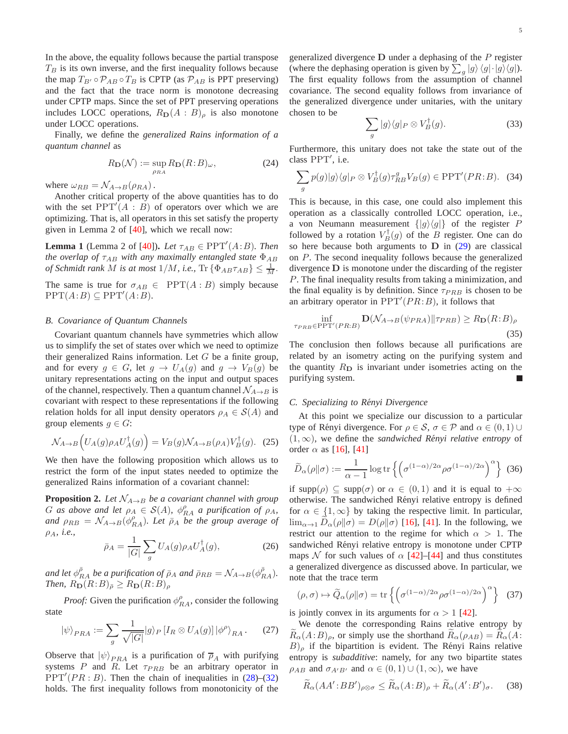In the above, the equality follows because the partial transpose  $T_B$  is its own inverse, and the first inequality follows because the map  $T_{B'} \circ \mathcal{P}_{AB} \circ T_B$  is CPTP (as  $\mathcal{P}_{AB}$  is PPT preserving) and the fact that the trace norm is monotone decreasing under CPTP maps. Since the set of PPT preserving operations includes LOCC operations,  $R_D(A : B)$ <sub>ρ</sub> is also monotone under LOCC operations.

Finally, we define the *generalized Rains information of a quantum channel* as

$$
R_{\mathbf{D}}(\mathcal{N}) := \sup_{\rho_{RA}} R_{\mathbf{D}}(R:B)_{\omega},\tag{24}
$$

where  $\omega_{RB} = \mathcal{N}_{A\rightarrow B}(\rho_{RA})$ .

Another critical property of the above quantities has to do with the set  $PPT^{T}(A : B)$  of operators over which we are optimizing. That is, all operators in this set satisfy the property given in Lemma 2 of [\[40\]](#page-12-35), which we recall now:

<span id="page-5-1"></span>**Lemma 1** (Lemma 2 of [\[40\]](#page-12-35)). *Let*  $\tau_{AB} \in \text{PPT}'(A:B)$ *. Then the overlap of*  $\tau_{AB}$  *with any maximally entangled state*  $\Phi_{AB}$ *of Schmidt rank M is at most*  $1/M$ *, i.e.*,  $\text{Tr} \left\{ \Phi_{AB} \tau_{AB} \right\} \leq \frac{1}{M}$ .

The same is true for  $\sigma_{AB} \in \text{PPT}(A : B)$  simply because  $PPT(A:B) \subseteq PPT'(A:B).$ 

## *B. Covariance of Quantum Channels*

Covariant quantum channels have symmetries which allow us to simplify the set of states over which we need to optimize their generalized Rains information. Let  $G$  be a finite group, and for every  $g \in G$ , let  $g \to U_A(g)$  and  $g \to V_B(g)$  be unitary representations acting on the input and output spaces of the channel, respectively. Then a quantum channel  $\mathcal{N}_{A\rightarrow B}$  is covariant with respect to these representations if the following relation holds for all input density operators  $\rho_A \in S(A)$  and group elements  $g \in G$ :

$$
\mathcal{N}_{A\to B}\left(U_A(g)\rho_A U_A^{\dagger}(g)\right) = V_B(g)\mathcal{N}_{A\to B}(\rho_A)V_B^{\dagger}(g). \tag{25}
$$

We then have the following proposition which allows us to restrict the form of the input states needed to optimize the generalized Rains information of a covariant channel:

<span id="page-5-2"></span>**Proposition 2.** Let  $\mathcal{N}_{A\rightarrow B}$  be a covariant channel with group G as above and let  $\rho_A \in S(A)$ ,  $\phi_{RA}^{\rho}$  a purification of  $\rho_A$ , and  $\rho_{RB} = \mathcal{N}_{A \to B}(\phi_{RA}^{\rho})$ . Let  $\bar{\rho}_A$  be the group average of ρA*, i.e.,*

$$
\bar{\rho}_A = \frac{1}{|G|} \sum_g U_A(g) \rho_A U_A^\dagger(g),\tag{26}
$$

*and let*  $\phi_{RA}^{\bar{\rho}}$  *be a purification of*  $\bar{\rho}_A$  *and*  $\bar{\rho}_{RB} = \mathcal{N}_{A \to B}(\phi_{RA}^{\bar{\rho}})$ *. Then,*  $R_{\text{D}}(R:B)_{\bar{\rho}} \geq R_{\text{D}}(R:B)_{\rho}$ 

*Proof:* Given the purification  $\phi_{RA}^{\rho}$ , consider the following state

$$
|\psi\rangle_{PRA} := \sum_{g} \frac{1}{\sqrt{|G|}} |g\rangle_P [I_R \otimes U_A(g)] |\phi^{\rho}\rangle_{RA}. \tag{27}
$$

Observe that  $|\psi\rangle_{PRA}$  is a purification of  $\overline{\rho}_A$  with purifying systems  $P$  and  $R$ . Let  $\tau_{PRB}$  be an arbitrary operator in  $PPT'(PR : B)$ . Then the chain of inequalities in [\(28\)](#page-6-0)–[\(32\)](#page-6-1) holds. The first inequality follows from monotonicity of the generalized divergence  **under a dephasing of the**  $P$  **register** (where the dephasing operation is given by  $\sum_{g} |g\rangle \langle g| \cdot |g\rangle \langle g|$ ). The first equality follows from the assumption of channel covariance. The second equality follows from invariance of the generalized divergence under unitaries, with the unitary chosen to be

$$
\sum_{g} |g\rangle\langle g|_{P} \otimes V_{B}^{\dagger}(g). \tag{33}
$$

Furthermore, this unitary does not take the state out of the class PPT′ , i.e.

$$
\sum_{g} p(g)|g\rangle\langle g|_{P} \otimes V_{B}^{\dagger}(g)\tau_{RB}^{g}V_{B}(g) \in \text{PPT}'(PR:B). \quad (34)
$$

This is because, in this case, one could also implement this operation as a classically controlled LOCC operation, i.e., a von Neumann measurement  $\{|g\rangle\langle g|\}$  of the register P followed by a rotation  $V_B^{\dagger}(g)$  of the B register. One can do so here because both arguments to  $D$  in [\(29\)](#page-6-2) are classical on P. The second inequality follows because the generalized divergence D is monotone under the discarding of the register P. The final inequality results from taking a minimization, and the final equality is by definition. Since  $\tau_{PRB}$  is chosen to be an arbitrary operator in  $PPT'(PR:B)$ , it follows that

$$
\inf_{\tau_{PRB} \in \text{PPT}'(PR:B)} \mathbf{D}(\mathcal{N}_{A \to B}(\psi_{PRA}) \| \tau_{PRB}) \ge R_{\mathbf{D}}(R:B)_{\rho}
$$
\n(35)

The conclusion then follows because all purifications are related by an isometry acting on the purifying system and the quantity  $R<sub>D</sub>$  is invariant under isometries acting on the purifying system.

#### *C. Specializing to Renyi Divergence ´*

At this point we specialize our discussion to a particular type of Rényi divergence. For  $\rho \in S$ ,  $\sigma \in \mathcal{P}$  and  $\alpha \in (0,1) \cup$  $(1, \infty)$ , we define the *sandwiched Rényi relative entropy* of order  $\alpha$  as [\[16\]](#page-12-36), [\[41\]](#page-12-37)

$$
\widetilde{D}_{\alpha}(\rho||\sigma) := \frac{1}{\alpha - 1} \log \text{tr} \left\{ \left( \sigma^{(1-\alpha)/2\alpha} \rho \sigma^{(1-\alpha)/2\alpha} \right)^{\alpha} \right\} (36)
$$

if supp( $\rho$ )  $\subseteq$  supp( $\sigma$ ) or  $\alpha \in (0,1)$  and it is equal to  $+\infty$ otherwise. The sandwiched Rényi relative entropy is defined for  $\alpha \in \{1, \infty\}$  by taking the respective limit. In particular,  $\lim_{\alpha\to 1} D_{\alpha}(\rho\|\sigma) = D(\rho\|\sigma)$  [\[16\]](#page-12-36), [\[41\]](#page-12-37). In the following, we restrict our attention to the regime for which  $\alpha > 1$ . The sandwiched Rényi relative entropy is monotone under CPTP maps N for such values of  $\alpha$  [\[42\]](#page-12-38)–[\[44\]](#page-12-39) and thus constitutes a generalized divergence as discussed above. In particular, we note that the trace term

<span id="page-5-0"></span>
$$
(\rho, \sigma) \mapsto \widetilde{Q}_{\alpha}(\rho \| \sigma) = \text{tr}\left\{ \left( \sigma^{(1-\alpha)/2\alpha} \rho \sigma^{(1-\alpha)/2\alpha} \right)^{\alpha} \right\} \tag{37}
$$

is jointly convex in its arguments for  $\alpha > 1$  [\[42\]](#page-12-38).

We denote the corresponding Rains relative entropy by  $R_{\alpha}(A:B)_{\rho}$ , or simply use the shorthand  $R_{\alpha}(\rho_{AB}) = R_{\alpha}(A:B)$  $B)$ <sub>ρ</sub> if the bipartition is evident. The Rényi Rains relative entropy is *subadditive*: namely, for any two bipartite states  $\rho_{AB}$  and  $\sigma_{A'B'}$  and  $\alpha \in (0,1) \cup (1,\infty)$ , we have

<span id="page-5-3"></span>
$$
\widetilde{R}_{\alpha}(AA':BB')_{\rho\otimes\sigma} \leq \widetilde{R}_{\alpha}(A:B)_{\rho} + \widetilde{R}_{\alpha}(A':B')_{\sigma}.
$$
 (38)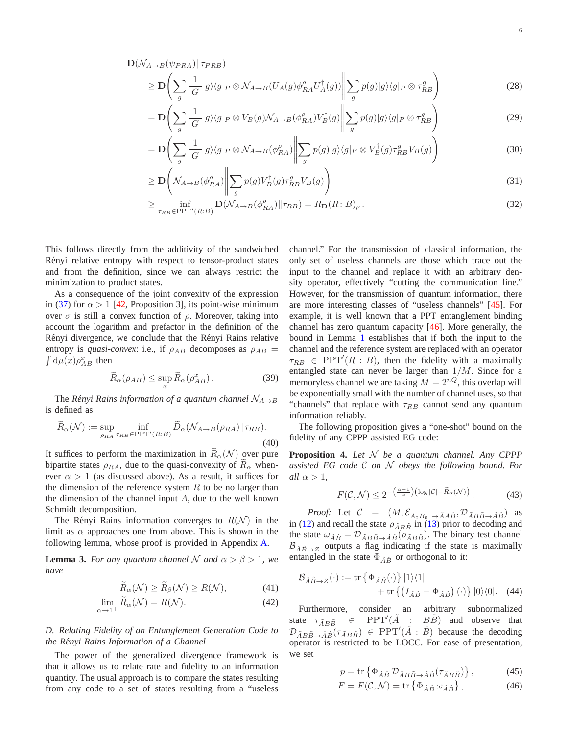$\mathbf{D}(\mathcal{N}_{A\to B}(\psi_{PRA})||\tau_{PRB})$ 

$$
\geq \mathbf{D}\left(\sum_{g} \frac{1}{|G|} |g\rangle\langle g|_{P} \otimes \mathcal{N}_{A \to B}(U_{A}(g)\phi_{RA}^{P}U_{A}^{\dagger}(g))\middle\|\sum_{g} p(g)|g\rangle\langle g|_{P} \otimes \tau_{RB}^{g}\right) \tag{28}
$$

$$
= \mathbf{D} \left( \sum_{g} \frac{1}{|G|} |g\rangle \langle g|_{P} \otimes V_{B}(g) \mathcal{N}_{A \to B}(\phi_{RA}^{\rho}) V_{B}^{\dagger}(g) \middle\| \sum_{g} p(g) |g\rangle \langle g|_{P} \otimes \tau_{RB}^{g} \right) \tag{29}
$$

$$
= \mathbf{D} \left( \sum_{g} \frac{1}{|G|} |g\rangle \langle g|_{P} \otimes \mathcal{N}_{A \to B}(\phi_{RA}^{\rho}) \middle\| \sum_{g} p(g) |g\rangle \langle g|_{P} \otimes V_{B}^{\dagger}(g) \tau_{RB}^{g} V_{B}(g) \right) \tag{30}
$$

$$
\geq \mathbf{D}\left(\mathcal{N}_{A\to B}(\phi_{RA}^{\rho})\middle\|\sum_{g}p(g)V_{B}^{\dagger}(g)\tau_{RB}^{g}V_{B}(g)\right) \tag{31}
$$

$$
\geq \inf_{\tau_{RB}\in\mathrm{PPT}'(R:B)} \mathbf{D}(\mathcal{N}_{A\to B}(\phi_{RA}^{\rho})||\tau_{RB}) = R_{\mathbf{D}}(R:B)_{\rho}.
$$
\n(32)

This follows directly from the additivity of the sandwiched Rényi relative entropy with respect to tensor-product states and from the definition, since we can always restrict the minimization to product states.

As a consequence of the joint convexity of the expression in [\(37\)](#page-5-0) for  $\alpha > 1$  [\[42,](#page-12-38) Proposition 3], its point-wise minimum over  $\sigma$  is still a convex function of  $\rho$ . Moreover, taking into account the logarithm and prefactor in the definition of the Rényi divergence, we conclude that the Rényi Rains relative entropy is *quasi-convex*: i.e., if  $\rho_{AB}$  decomposes as  $\rho_{AB}$  =  $d\mu(x)\rho_{AB}^x$  then

$$
\widetilde{R}_{\alpha}(\rho_{AB}) \le \sup_{x} \widetilde{R}_{\alpha}(\rho_{AB}^{x}). \tag{39}
$$

The *Rényi Rains information of a quantum channel*  $N_{A\rightarrow B}$ is defined as

$$
\widetilde{R}_{\alpha}(\mathcal{N}) := \sup_{\rho_{RA}} \inf_{\tau_{RB} \in \mathrm{PPT'}(R:B)} \widetilde{D}_{\alpha}(\mathcal{N}_{A \to B}(\rho_{RA}) || \tau_{RB}).
$$
\n(40)

It suffices to perform the maximization in  $\widetilde{R}_{\alpha}(N)$  over pure bipartite states  $\rho_{RA}$ , due to the quasi-convexity of  $R_{\alpha}$  whenever  $\alpha > 1$  (as discussed above). As a result, it suffices for the dimension of the reference system  $R$  to be no larger than the dimension of the channel input  $A$ , due to the well known Schmidt decomposition.

The Rényi Rains information converges to  $R(\mathcal{N})$  in the limit as  $\alpha$  approaches one from above. This is shown in the following lemma, whose proof is provided in Appendix [A.](#page-11-0)

<span id="page-6-7"></span>**Lemma 3.** *For any quantum channel* N *and*  $\alpha > \beta > 1$ *, we have*

$$
R_{\alpha}(\mathcal{N}) \ge R_{\beta}(\mathcal{N}) \ge R(\mathcal{N}),\tag{41}
$$

$$
\lim_{\alpha \to 1^{+}} R_{\alpha}(\mathcal{N}) = R(\mathcal{N}). \tag{42}
$$

# *D. Relating Fidelity of an Entanglement Generation Code to the Renyi Rains Information of a Channel ´*

The power of the generalized divergence framework is that it allows us to relate rate and fidelity to an information quantity. The usual approach is to compare the states resulting from any code to a set of states resulting from a "useless <span id="page-6-2"></span><span id="page-6-1"></span><span id="page-6-0"></span>channel." For the transmission of classical information, the only set of useless channels are those which trace out the input to the channel and replace it with an arbitrary density operator, effectively "cutting the communication line." However, for the transmission of quantum information, there are more interesting classes of "useless channels" [\[45\]](#page-12-40). For example, it is well known that a PPT entanglement binding channel has zero quantum capacity [\[46\]](#page-13-0). More generally, the bound in Lemma [1](#page-5-1) establishes that if both the input to the channel and the reference system are replaced with an operator  $\tau_{RB} \in \text{PPT}'(R : B)$ , then the fidelity with a maximally entangled state can never be larger than  $1/M$ . Since for a memoryless channel we are taking  $M = 2^{nQ}$ , this overlap will be exponentially small with the number of channel uses, so that "channels" that replace with  $\tau_{RB}$  cannot send any quantum information reliably.

<span id="page-6-6"></span><span id="page-6-5"></span>The following proposition gives a "one-shot" bound on the fidelity of any CPPP assisted EG code:

**Proposition 4.** *Let* N *be a quantum channel. Any CPPP assisted EG code* C *on* N *obeys the following bound. For all*  $\alpha > 1$ ,

<span id="page-6-4"></span>
$$
F(\mathcal{C}, \mathcal{N}) \le 2^{-\left(\frac{\alpha - 1}{\alpha}\right) \left(\log|\mathcal{C}| - \widetilde{R}_{\alpha}(\mathcal{N})\right)}.
$$
 (43)

*Proof:* Let  $C = (M, \mathcal{E}_{A_0B_0 \rightarrow \tilde{A}A\tilde{B}}, \mathcal{D}_{\tilde{A}B\tilde{B} \rightarrow \hat{A}\hat{B}})$  as in [\(12\)](#page-4-1) and recall the state  $\rho_{\tilde{A}B\tilde{B}}$  in [\(13\)](#page-4-2) prior to decoding and the state  $\omega_{\hat{A}\hat{B}} = \mathcal{D}_{\tilde{A}B\tilde{B}\to \hat{A}\hat{B}}(\rho_{\tilde{A}B\tilde{B}})$ . The binary test channel  $\mathcal{B}_{\hat{A}\hat{B}\to Z}$  outputs a flag indicating if the state is maximally entangled in the state  $\Phi_{\hat{A}\hat{B}}$  or orthogonal to it:

$$
\mathcal{B}_{\hat{A}\hat{B}\to Z}(\cdot) := \text{tr}\left\{\Phi_{\hat{A}\hat{B}}(\cdot)\right\}|1\rangle\langle 1| + \text{tr}\left\{\left(I_{\hat{A}\hat{B}} - \Phi_{\hat{A}\hat{B}}\right)(\cdot)\right\}|0\rangle\langle 0|.
$$
 (44)

Furthermore, consider an arbitrary subnormalized state  $\tau_{\tilde{A}B\tilde{B}} \in \text{PPT}'(\tilde{A} : B\tilde{B})$  and observe that  $\mathcal{D}_{\tilde{A}B\tilde{B}\to \hat{A}\hat{B}}(\tau_{\tilde{A}B\tilde{B}}) \in \text{PPT}'(\hat{A} : \hat{B})$  because the decoding operator is restricted to be LOCC. For ease of presentation, we set

$$
p = \text{tr}\left\{\Phi_{\hat{A}\hat{B}}\,\mathcal{D}_{\tilde{A}B\tilde{B}\to\hat{A}\hat{B}}(\tau_{\tilde{A}B\tilde{B}})\right\},\tag{45}
$$

<span id="page-6-3"></span>
$$
F = F(\mathcal{C}, \mathcal{N}) = \text{tr}\left\{\Phi_{\hat{A}\hat{B}}\,\omega_{\hat{A}\hat{B}}\right\},\tag{46}
$$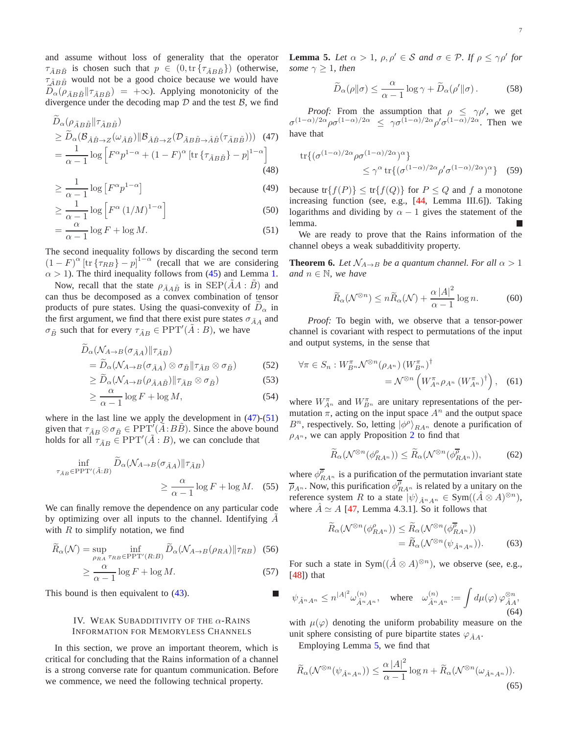and assume without loss of generality that the operator  $\tau_{\tilde{A}B\tilde{B}}$  is chosen such that  $p \in (0, \text{tr}\{\tau_{\tilde{A}B\tilde{B}}\})$  (otherwise,  $\tau_{\tilde{A}B\tilde{B}}$  would not be a good choice because we would have  $D_{\alpha}(\rho_{\tilde{A}B\tilde{B}}||\tau_{\tilde{A}B\tilde{B}}) = +\infty$ . Applying monotonicity of the divergence under the decoding map  $D$  and the test  $B$ , we find

$$
D_{\alpha}(\rho_{\tilde{A}B\tilde{B}}||\tau_{\tilde{A}B\tilde{B}})
$$
  
\n
$$
\geq \widetilde{D}_{\alpha}(\mathcal{B}_{\hat{A}\hat{B}\to Z}(\omega_{\hat{A}\hat{B}})||\mathcal{B}_{\hat{A}\hat{B}\to Z}(\mathcal{D}_{\tilde{A}B\tilde{B}\to \hat{A}\hat{B}}(\tau_{\tilde{A}B\tilde{B}})))
$$
(47)  
\n
$$
= \frac{1}{\alpha - 1} \log \left[ F^{\alpha} p^{1-\alpha} + (1 - F)^{\alpha} \left[ \text{tr} \left\{ \tau_{\tilde{A}B\tilde{B}} \right\} - p \right]^{1-\alpha} \right]
$$
(48)

$$
\geq \frac{1}{\alpha - 1} \log \left[ F^{\alpha} p^{1-\alpha} \right] \tag{49}
$$

$$
\geq \frac{1}{\alpha - 1} \log \left[ F^{\alpha} \left( 1/M \right)^{1-\alpha} \right]
$$
 (50)

$$
= \frac{\alpha}{\alpha - 1} \log F + \log M. \tag{51}
$$

The second inequality follows by discarding the second term  $(1 - F)^{\alpha}$  [tr { $\tau_{RB}$ } - p]<sup>1- $\alpha$ </sup> (recall that we are considering  $\alpha > 1$ ). The third inequality follows from [\(45\)](#page-6-3) and Lemma [1.](#page-5-1)

Now, recall that the state  $\rho_{\tilde{A}A\tilde{B}}$  is in SEP( $AA : B$ ) and can thus be decomposed as a convex combination of tensor products of pure states. Using the quasi-convexity of  $D_{\alpha}$  in the first argument, we find that there exist pure states  $\sigma_{\tilde{A}A}$  and  $\sigma_{\tilde{B}}$  such that for every  $\tau_{\tilde{A}B} \in \text{PPT}'(\tilde{A}:B)$ , we have

$$
\tilde{D}_{\alpha}(\mathcal{N}_{A\to B}(\sigma_{\tilde{A}A})||\tau_{\tilde{A}B})
$$
\n
$$
= \tilde{D}_{\alpha}(\mathcal{N}_{A\to B}(\sigma_{\tilde{A}A}) \otimes \sigma_{\tilde{B}}||\tau_{\tilde{A}B} \otimes \sigma_{\tilde{B}})
$$
\n(52)

$$
\geq \widetilde{D}_{\alpha}(\mathcal{N}_{A\to B}(\rho_{\tilde{A}A\tilde{B}})||\tau_{\tilde{A}B}\otimes\sigma_{\tilde{B}})
$$
\n(53)

$$
\geq \frac{\alpha}{\alpha - 1} \log F + \log M,\tag{54}
$$

where in the last line we apply the development in  $(47)$ - $(51)$ given that  $\tau_{\tilde{A}B} \otimes \sigma_{\tilde{B}} \in \text{PPT}'(\tilde{A}:B\tilde{B})$ . Since the above bound holds for all  $\tau_{\tilde{A}B} \in \text{PPT}'(\tilde{A}:B)$ , we can conclude that

$$
\inf_{\tau_{\tilde{A}B} \in \text{PPT}'(\tilde{A}:B)} \tilde{D}_{\alpha}(\mathcal{N}_{A \to B}(\sigma_{\tilde{A}A}) \| \tau_{\tilde{A}B})
$$
\n
$$
\geq \frac{\alpha}{\alpha - 1} \log F + \log M. \quad (55)
$$

We can finally remove the dependence on any particular code by optimizing over all inputs to the channel. Identifying  $A$ with  $R$  to simplify notation, we find

$$
\widetilde{R}_{\alpha}(\mathcal{N}) = \sup_{\rho_{RA}} \inf_{\tau_{RB} \in \text{PPT}'(R:B)} \widetilde{D}_{\alpha}(\mathcal{N}_{A \to B}(\rho_{RA}) || \tau_{RB}) \tag{56}
$$

$$
\geq \frac{\alpha}{\alpha - 1} \log F + \log M. \tag{57}
$$

<span id="page-7-1"></span>This bound is then equivalent to  $(43)$ .

### IV. WEAK SUBADDITIVITY OF THE  $\alpha$ -Rains INFORMATION FOR MEMORYLESS CHANNELS

<span id="page-7-4"></span>In this section, we prove an important theorem, which is critical for concluding that the Rains information of a channel is a strong converse rate for quantum communication. Before we commence, we need the following technical property.

**Lemma 5.** *Let*  $\alpha > 1$ ,  $\rho, \rho' \in S$  *and*  $\sigma \in \mathcal{P}$ *. If*  $\rho \leq \gamma \rho'$  *for some*  $\gamma \geq 1$ *, then* 

$$
\widetilde{D}_{\alpha}(\rho\|\sigma) \le \frac{\alpha}{\alpha - 1} \log \gamma + \widetilde{D}_{\alpha}(\rho'\|\sigma). \tag{58}
$$

<span id="page-7-2"></span>*Proof:* From the assumption that  $\rho \leq \gamma \rho'$ , we get  $\sigma^{(1-\alpha)/2\alpha} \rho \sigma^{(1-\alpha)/2\alpha} \leq \gamma \sigma^{(1-\alpha)/2\alpha} \rho' \sigma^{(1-\alpha)/2\alpha}$ . Then we have that

$$
\text{tr}\{(\sigma^{(1-\alpha)/2\alpha}\rho\sigma^{(1-\alpha)/2\alpha})^{\alpha}\}\n\leq \gamma^{\alpha}\,\text{tr}\{(\sigma^{(1-\alpha)/2\alpha}\rho'\sigma^{(1-\alpha)/2\alpha})^{\alpha}\}\quad(59)
$$

because  $\text{tr}\{f(P)\}\leq \text{tr}\{f(Q)\}\$  for  $P\leq Q$  and f a monotone increasing function (see, e.g., [\[44,](#page-12-39) Lemma III.6]). Taking logarithms and dividing by  $\alpha - 1$  gives the statement of the lemma.

<span id="page-7-3"></span><span id="page-7-0"></span>We are ready to prove that the Rains information of the channel obeys a weak subadditivity property.

**Theorem 6.** *Let*  $\mathcal{N}_{A\rightarrow B}$  *be a quantum channel. For all*  $\alpha > 1$ *and*  $n \in \mathbb{N}$ *, we have* 

$$
\widetilde{R}_{\alpha}(\mathcal{N}^{\otimes n}) \le n \widetilde{R}_{\alpha}(\mathcal{N}) + \frac{\alpha |A|^2}{\alpha - 1} \log n. \tag{60}
$$

*Proof:* To begin with, we observe that a tensor-power channel is covariant with respect to permutations of the input and output systems, in the sense that

$$
\forall \pi \in S_n : W_{B^n}^{\pi} \mathcal{N}^{\otimes n}(\rho_{A^n}) \left(W_{B^n}^{\pi}\right)^{\dagger} = \mathcal{N}^{\otimes n} \left(W_{A^n}^{\pi} \rho_{A^n} \left(W_{A^n}^{\pi}\right)^{\dagger}\right), \quad (61)
$$

where  $W^{\pi}_{A^n}$  and  $W^{\pi}_{B^n}$  are unitary representations of the permutation  $\pi$ , acting on the input space  $A^n$  and the output space  $B<sup>n</sup>$ , respectively. So, letting  $|\phi^{\rho}\rangle_{R,A<sup>n</sup>}$  denote a purification of  $\rho_{A^n}$ , we can apply Proposition [2](#page-5-2) to find that

$$
\widetilde{R}_{\alpha}(\mathcal{N}^{\otimes n}(\phi_{RA^n}^{\rho})) \leq \widetilde{R}_{\alpha}(\mathcal{N}^{\otimes n}(\phi_{RA^n}^{\overline{\rho}})),\tag{62}
$$

where  $\phi_{R,A^n}^{\overline{\rho}}$  is a purification of the permutation invariant state  $\overline{\rho}_{A^n}$ . Now, this purification  $\phi_{R,A^n}^{\overline{\rho}}$  is related by a unitary on the reference system R to a state  $|\psi\rangle_{\hat{A}^n A^n} \in \text{Sym}((\hat{A} \otimes A)^{\otimes n}),$ where  $\hat{A} \simeq A$  [\[47,](#page-13-1) Lemma 4.3.1]. So it follows that

$$
\widetilde{R}_{\alpha}(\mathcal{N}^{\otimes n}(\phi_{RA^n}^{\rho})) \leq \widetilde{R}_{\alpha}(\mathcal{N}^{\otimes n}(\phi_{RA^n}^{\overline{\rho}})) \n= \widetilde{R}_{\alpha}(\mathcal{N}^{\otimes n}(\psi_{\hat{A}^n A^n})).
$$
\n(63)

For such a state in Sym $((\hat{A} \otimes A)^{\otimes n})$ , we observe (see, e.g.,  $[48]$ ) that

<span id="page-7-5"></span>
$$
\psi_{\hat{A}^n A^n} \le n^{|A|^2} \omega_{\hat{A}^n A^n}^{(n)}, \quad \text{where} \quad \omega_{\hat{A}^n A^n}^{(n)} := \int d\mu(\varphi) \, \varphi_{\hat{A}A}^{\otimes n},\tag{64}
$$

with  $\mu(\varphi)$  denoting the uniform probability measure on the unit sphere consisting of pure bipartite states  $\varphi_{\hat{A}A}$ .

Employing Lemma [5,](#page-7-4) we find that

$$
\widetilde{R}_{\alpha}(\mathcal{N}^{\otimes n}(\psi_{\hat{A}^n A^n})) \le \frac{\alpha |A|^2}{\alpha - 1} \log n + \widetilde{R}_{\alpha}(\mathcal{N}^{\otimes n}(\omega_{\hat{A}^n A^n})).
$$
\n(65)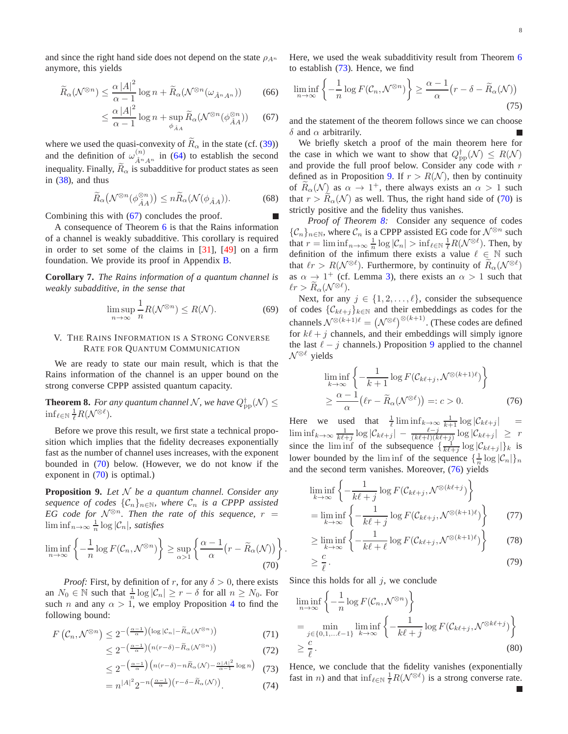and since the right hand side does not depend on the state  $\rho_{A^n}$ anymore, this yields

$$
\widetilde{R}_{\alpha}(\mathcal{N}^{\otimes n}) \le \frac{\alpha \left|A\right|^2}{\alpha - 1} \log n + \widetilde{R}_{\alpha}(\mathcal{N}^{\otimes n}(\omega_{\hat{A}^n A^n})) \tag{66}
$$

$$
\leq \frac{\alpha |A|^2}{\alpha - 1} \log n + \sup_{\phi_{\hat{A}A}} \widetilde{R}_{\alpha}(\mathcal{N}^{\otimes n}(\phi_{\hat{A}A}^{\otimes n})) \qquad (67)
$$

where we used the quasi-convexity of  $R_{\alpha}$  in the state (cf. [\(39\)](#page-6-5)) and the definition of  $\omega_{\hat{\lambda}^n}^{(n)}$  $\hat{A}^n A^n$  in [\(64\)](#page-7-5) to establish the second inequality. Finally,  $R_{\alpha}$  is subadditive for product states as seen in [\(38\)](#page-5-3), and thus

$$
\widetilde{R}_{\alpha}\big(\mathcal{N}^{\otimes n}(\phi_{\hat{A}A}^{\otimes n})\big) \le n \widetilde{R}_{\alpha}(\mathcal{N}(\phi_{\hat{A}A})).\tag{68}
$$

Combining this with [\(67\)](#page-8-2) concludes the proof.

A consequence of Theorem [6](#page-7-0) is that the Rains information of a channel is weakly subadditive. This corollary is required in order to set some of the claims in [\[31\]](#page-12-26), [\[49\]](#page-13-3) on a firm foundation. We provide its proof in Appendix [B.](#page-11-1)

<span id="page-8-7"></span>**Corollary 7.** *The Rains information of a quantum channel is weakly subadditive, in the sense that*

$$
\limsup_{n \to \infty} \frac{1}{n} R(\mathcal{N}^{\otimes n}) \le R(\mathcal{N}).\tag{69}
$$

# <span id="page-8-1"></span>V. THE RAINS INFORMATION IS A STRONG CONVERSE RATE FOR QUANTUM COMMUNICATION

We are ready to state our main result, which is that the Rains information of the channel is an upper bound on the strong converse CPPP assisted quantum capacity.

<span id="page-8-0"></span>**Theorem 8.** For any quantum channel N, we have  $Q_{\text{pp}}^{\dagger}(\mathcal{N}) \leq$  $\inf_{\ell \in \mathbb{N}} \frac{1}{\ell} R(\mathcal{N}^{\otimes \ell}).$ 

Before we prove this result, we first state a technical proposition which implies that the fidelity decreases exponentially fast as the number of channel uses increases, with the exponent bounded in [\(70\)](#page-8-3) below. (However, we do not know if the exponent in [\(70\)](#page-8-3) is optimal.)

<span id="page-8-5"></span>**Proposition 9.** *Let* N *be a quantum channel. Consider any sequence of codes*  $\{\mathcal{C}_n\}_{n\in\mathbb{N}}$ , where  $\mathcal{C}_n$  *is a CPPP assisted EG code for*  $\mathcal{N}^{\otimes n}$ *. Then the rate of this sequence,*  $r =$  $\liminf_{n\to\infty}\frac{1}{n}\log|\mathcal{C}_n|$ *, satisfies* 

$$
\liminf_{n \to \infty} \left\{ -\frac{1}{n} \log F(C_n, \mathcal{N}^{\otimes n}) \right\} \ge \sup_{\alpha > 1} \left\{ \frac{\alpha - 1}{\alpha} \left( r - \widetilde{R}_{\alpha}(\mathcal{N}) \right) \right\}.
$$
\n(70)

*Proof:* First, by definition of r, for any  $\delta > 0$ , there exists an  $N_0 \in \mathbb{N}$  such that  $\frac{1}{n} \log |\mathcal{C}_n| \ge r - \delta$  for all  $n \ge N_0$ . For such *n* and any  $\alpha > 1$ , we employ Proposition [4](#page-6-6) to find the following bound:

$$
F\left(\mathcal{C}_n, \mathcal{N}^{\otimes n}\right) \le 2^{-\left(\frac{\alpha-1}{\alpha}\right)\left(\log|\mathcal{C}_n| - \widetilde{R}_\alpha(\mathcal{N}^{\otimes n})\right)}\tag{71}
$$

$$
\leq 2^{-\left(\frac{\alpha-1}{\alpha}\right)\left(n(r-\delta)-\widetilde{R}_{\alpha}(\mathcal{N}^{\otimes n})\right)}\tag{72}
$$

$$
\leq 2^{-\left(\frac{\alpha-1}{\alpha}\right)\left(n(r-\delta)-n\widetilde{R}_{\alpha}(\mathcal{N})-\frac{\alpha|A|^2}{\alpha-1}\log n\right)}\tag{73}
$$

$$
= n^{|A|^2} 2^{-n\left(\frac{\alpha - 1}{\alpha}\right)\left(r - \delta - \widetilde{R}_{\alpha}(\mathcal{N})\right)}.
$$
 (74)

Here, we used the weak subadditivity result from Theorem [6](#page-7-0) to establish [\(73\)](#page-8-4). Hence, we find

$$
\liminf_{n \to \infty} \left\{ -\frac{1}{n} \log F(C_n, \mathcal{N}^{\otimes n}) \right\} \ge \frac{\alpha - 1}{\alpha} \left( r - \delta - \widetilde{R}_{\alpha}(\mathcal{N}) \right)
$$
\n(75)

<span id="page-8-2"></span>and the statement of the theorem follows since we can choose δ and  $\alpha$  arbitrarily.

We briefly sketch a proof of the main theorem here for the case in which we want to show that  $Q_{\rm pp}^{\dagger}(\mathcal{N}) \leq R(\mathcal{N})$ and provide the full proof below. Consider any code with r defined as in Proposition [9.](#page-8-5) If  $r > R(N)$ , then by continuity of  $R_{\alpha}(\mathcal{N})$  as  $\alpha \to 1^{+}$ , there always exists an  $\alpha > 1$  such that  $r > R_{\alpha}(\mathcal{N})$  as well. Thus, the right hand side of [\(70\)](#page-8-3) is strictly positive and the fidelity thus vanishes.

*Proof of Theorem [8:](#page-8-0)* Consider any sequence of codes  $\{\mathcal{C}_n\}_{n\in\mathbb{N}}$ , where  $\mathcal{C}_n$  is a CPPP assisted EG code for  $\mathcal{N}^{\otimes n}$  such that  $r = \liminf_{n \to \infty} \frac{1}{n} \log |\mathcal{C}_n| > \inf_{\ell \in \mathbb{N}} \frac{1}{\ell} R(\mathcal{N}^{\otimes \ell})$ . Then, by definition of the infimum there exists a value  $\ell \in \mathbb{N}$  such that  $\ell r > R(\mathcal{N}^{\otimes \ell})$ . Furthermore, by continuity of  $\widetilde{R}_\alpha(\mathcal{N}^{\otimes \ell})$ as  $\alpha \to 1^+$  (cf. Lemma [3\)](#page-6-7), there exists an  $\alpha > 1$  such that  $\ell r > R_{\alpha}(\mathcal{N}^{\otimes \ell}).$ 

Next, for any  $j \in \{1, 2, \ldots, \ell\}$ , consider the subsequence of codes  $\{C_{k\ell+j}\}_{k\in\mathbb{N}}$  and their embeddings as codes for the channels  $\mathcal{N}^{\otimes (k+1)\ell} = (\mathcal{N}^{\otimes \ell})^{\otimes (k+1)}$ . (These codes are defined for  $k\ell + j$  channels, and their embeddings will simply ignore the last  $\ell - j$  channels.) Proposition [9](#page-8-5) applied to the channel  $\mathcal{N}^{\otimes \ell}$  yields

<span id="page-8-6"></span>
$$
\liminf_{k \to \infty} \left\{ -\frac{1}{k+1} \log F(C_{k\ell+j}, \mathcal{N}^{\otimes (k+1)\ell}) \right\}
$$
  
 
$$
\geq \frac{\alpha - 1}{\alpha} \left( \ell r - \widetilde{R}_{\alpha}(\mathcal{N}^{\otimes \ell}) \right) =: c > 0.
$$
 (76)

Here we used that  $\frac{1}{\ell} \liminf_{k \to \infty} \frac{1}{k+1} \log |\mathcal{C}_{k\ell+j}|$  =  $\liminf_{k\to\infty}\frac{1}{k\ell+j}\log|\mathcal{C}_{k\ell+j}|-\frac{\ell-j}{(k\ell+i)(k\ell+j)}\log|\mathcal{C}_{k\ell+j}| \geq r$ since the liminf of the subsequence  $\{\frac{1}{k\ell+j}\log|\mathcal{C}_{k\ell+j}|\}_k$  is lower bounded by the lim inf of the sequence  $\{\frac{1}{n}\log|\mathcal{C}_n|\}_n$ and the second term vanishes. Moreover, [\(76\)](#page-8-6) yields

$$
\liminf_{k \to \infty} \left\{ -\frac{1}{k\ell + j} \log F(C_{k\ell + j}, \mathcal{N}^{\otimes (k\ell + j)} \right\}
$$
\n
$$
= \liminf_{k \to \infty} \left\{ -\frac{1}{k\ell + j} \log F(C_{k\ell + j}, \mathcal{N}^{\otimes (k+1)\ell}) \right\} \tag{77}
$$

$$
\geq \liminf_{k \to \infty} \left\{ -\frac{1}{k\ell + \ell} \log F(C_{k\ell + j}, \mathcal{N}^{\otimes (k+1)\ell}) \right\} \tag{78}
$$

$$
\geq \frac{c}{\ell}.\tag{79}
$$

<span id="page-8-3"></span>Since this holds for all  $j$ , we conclude

$$
\liminf_{n \to \infty} \left\{ -\frac{1}{n} \log F(C_n, \mathcal{N}^{\otimes n}) \right\}
$$
\n
$$
= \min_{j \in \{0, 1, \dots \ell - 1\}} \liminf_{k \to \infty} \left\{ -\frac{1}{k\ell + j} \log F(C_{k\ell + j}, \mathcal{N}^{\otimes k\ell + j}) \right\}
$$
\n
$$
\geq \frac{c}{\ell}.
$$
\n(80)

<span id="page-8-4"></span>Hence, we conclude that the fidelity vanishes (exponentially fast in *n*) and that  $\inf_{\ell \in \mathbb{N}} \frac{1}{\ell} R(\mathcal{N}^{\otimes \ell})$  is a strong converse rate.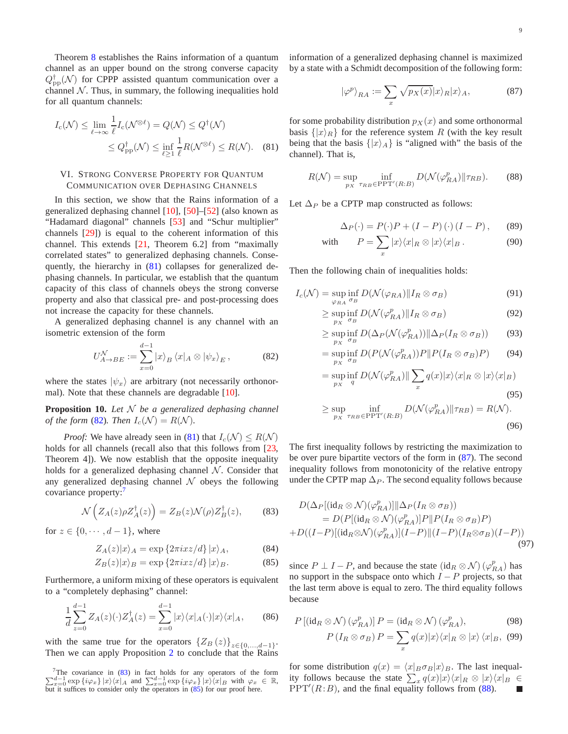Theorem [8](#page-8-0) establishes the Rains information of a quantum channel as an upper bound on the strong converse capacity  $Q_{\text{pp}}^{\dagger}(\mathcal{N})$  for CPPP assisted quantum communication over a channel  $N$ . Thus, in summary, the following inequalities hold for all quantum channels:

$$
I_{\rm c}(\mathcal{N}) \le \lim_{\ell \to \infty} \frac{1}{\ell} I_{\rm c}(\mathcal{N}^{\otimes \ell}) = Q(\mathcal{N}) \le Q^{\dagger}(\mathcal{N})
$$
  

$$
\le Q^{\dagger}_{\rm pp}(\mathcal{N}) \le \inf_{\ell \ge 1} \frac{1}{\ell} R(\mathcal{N}^{\otimes \ell}) \le R(\mathcal{N}). \quad (81)
$$

# <span id="page-9-0"></span>VI. STRONG CONVERSE PROPERTY FOR QUANTUM COMMUNICATION OVER DEPHASING CHANNELS

In this section, we show that the Rains information of a generalized dephasing channel [\[10\]](#page-12-8), [\[50\]](#page-13-4)–[\[52\]](#page-13-5) (also known as "Hadamard diagonal" channels [\[53\]](#page-13-6) and "Schur multiplier" channels [\[29\]](#page-12-25)) is equal to the coherent information of this channel. This extends [\[21,](#page-12-15) Theorem 6.2] from "maximally correlated states" to generalized dephasing channels. Consequently, the hierarchy in [\(81\)](#page-9-2) collapses for generalized dephasing channels. In particular, we establish that the quantum capacity of this class of channels obeys the strong converse property and also that classical pre- and post-processing does not increase the capacity for these channels.

A generalized dephasing channel is any channel with an isometric extension of the form

<span id="page-9-3"></span>
$$
U_{A\to BE}^{\mathcal{N}} := \sum_{x=0}^{d-1} |x\rangle_B \langle x|_A \otimes |\psi_x\rangle_E, \qquad (82)
$$

<span id="page-9-1"></span>where the states  $|\psi_x\rangle$  are arbitrary (not necessarily orthonormal). Note that these channels are degradable [\[10\]](#page-12-8).

**Proposition 10.** *Let* N *be a generalized dephasing channel of the form* [\(82\)](#page-9-3)*. Then*  $I_c(\mathcal{N}) = R(\mathcal{N})$ *.* 

*Proof:* We have already seen in [\(81\)](#page-9-2) that  $I_c(\mathcal{N}) \leq R(\mathcal{N})$ holds for all channels (recall also that this follows from [\[23,](#page-12-17) Theorem 4]). We now establish that the opposite inequality holds for a generalized dephasing channel  $N$ . Consider that any generalized dephasing channel  $\mathcal N$  obeys the following covariance property:<sup>[7](#page-9-4)</sup>

<span id="page-9-5"></span>
$$
\mathcal{N}\left(Z_A(z)\rho Z_A^{\dagger}(z)\right) = Z_B(z)\mathcal{N}(\rho)Z_B^{\dagger}(z),\tag{83}
$$

for  $z \in \{0, \dots, d-1\}$ , where

$$
Z_A(z)|x\rangle_A = \exp\left\{2\pi i x z/d\right\}|x\rangle_A,\tag{84}
$$

$$
Z_B(z)|x\rangle_B = \exp\{2\pi i x z/d\} |x\rangle_B. \tag{85}
$$

Furthermore, a uniform mixing of these operators is equivalent to a "completely dephasing" channel:

$$
\frac{1}{d} \sum_{z=0}^{d-1} Z_A(z)(\cdot) Z_A^{\dagger}(z) = \sum_{x=0}^{d-1} |x\rangle \langle x|_A(\cdot) |x\rangle \langle x|_A,\tag{86}
$$

with the same true for the operators  ${Z_B(z)}_{z \in \{0,\dots,d-1\}}$ . Then we can apply Proposition [2](#page-5-2) to conclude that the Rains information of a generalized dephasing channel is maximized by a state with a Schmidt decomposition of the following form:

<span id="page-9-7"></span>
$$
|\varphi^p\rangle_{RA} := \sum_x \sqrt{p_X(x)} |x\rangle_R |x\rangle_A, \tag{87}
$$

<span id="page-9-2"></span>for some probability distribution  $p_X(x)$  and some orthonormal basis  $\{|x\rangle_R\}$  for the reference system R (with the key result being that the basis  $\{|x\rangle_A\}$  is "aligned with" the basis of the channel). That is,

<span id="page-9-8"></span>
$$
R(\mathcal{N}) = \sup_{p_X} \inf_{\tau_{RB} \in \text{PPT}'(R:B)} D(\mathcal{N}(\varphi_{RA}^p) \| \tau_{RB}). \tag{88}
$$

Let  $\Delta_P$  be a CPTP map constructed as follows:

$$
\Delta_P(\cdot) = P(\cdot)P + (I - P)(\cdot)(I - P), \qquad (89)
$$

with 
$$
P = \sum_{x} |x\rangle\langle x|_{R} \otimes |x\rangle\langle x|_{B}.
$$
 (90)

Then the following chain of inequalities holds:

$$
I_c(\mathcal{N}) = \sup_{\varphi_{RA}} \inf_{\sigma_B} D(\mathcal{N}(\varphi_{RA}) \| I_R \otimes \sigma_B)
$$
(91)

$$
\geq \sup_{p_X} \inf_{\sigma_B} D(\mathcal{N}(\varphi_{RA}^p) || I_R \otimes \sigma_B)
$$
\n(92)

$$
\geq \sup_{p_X} \inf_{\sigma_B} D(\Delta_P(\mathcal{N}(\varphi_{RA}^p)) \| \Delta_P(I_R \otimes \sigma_B)) \tag{93}
$$

$$
= \sup_{p_X} \inf_{\sigma_B} D(P(\mathcal{N}(\varphi_{RA}^p))P \| P(I_R \otimes \sigma_B)P) \qquad (94)
$$

$$
= \sup_{p_X} \inf_{q} D(\mathcal{N}(\varphi_{RA}^p) \| \sum_{x} q(x) |x\rangle \langle x|_R \otimes |x\rangle \langle x|_B)
$$
\n(95)

$$
\geq \sup_{p_X} \inf_{\tau_{RB} \in \text{PPT}'(R:B)} D(\mathcal{N}(\varphi_{RA}^p) \| \tau_{RB}) = R(\mathcal{N}).
$$
\n(96)

The first inequality follows by restricting the maximization to be over pure bipartite vectors of the form in  $(87)$ . The second inequality follows from monotonicity of the relative entropy under the CPTP map  $\Delta_P$ . The second equality follows because

$$
D(\Delta_P[(id_R \otimes \mathcal{N})(\varphi_{RA}^p)]||\Delta_P(I_R \otimes \sigma_B))
$$
  
= 
$$
D(P[(id_R \otimes \mathcal{N})(\varphi_{RA}^p)]P||P(I_R \otimes \sigma_B)P)
$$
  
+
$$
D((I-P)[(id_R \otimes \mathcal{N})(\varphi_{RA}^p)](I-P)||(I-P)(I_R \otimes \sigma_B)(I-P))
$$
(97)

<span id="page-9-6"></span>since  $P \perp I - P$ , and because the state  $(\text{id}_R \otimes \mathcal{N}) (\varphi_{RA}^p)$  has no support in the subspace onto which  $I - P$  projects, so that the last term above is equal to zero. The third equality follows because

$$
P\left[\left(\mathrm{id}_R \otimes \mathcal{N}\right)\left(\varphi_{RA}^p\right)\right]P = \left(\mathrm{id}_R \otimes \mathcal{N}\right)\left(\varphi_{RA}^p\right),\tag{98}
$$
\n
$$
P\left(I_R \otimes \sigma_B\right)P = \sum_x q(x)|x\rangle\langle x|_R \otimes |x\rangle\langle x|_B,\tag{99}
$$

for some distribution  $q(x) = \langle x|_B \sigma_B |x\rangle_B$ . The last inequality follows because the state  $\sum_{x} q(x)|x\rangle\langle x|_{R} \otimes |x\rangle\langle x|_{B} \in$  $PPT'(R:B)$ , and the final equality follows from [\(88\)](#page-9-8).

<span id="page-9-4"></span><sup>&</sup>lt;sup>7</sup>The covariance in  $(83)$  in fact holds for any operators of the form  $\sum_{x=0}^{d-1} \exp\{i\varphi_x\} |x\rangle\langle x|A$  and  $\sum_{x=0}^{d-1} \exp\{i\varphi_x\} |x\rangle\langle x|B$  with  $\varphi_x \in \mathbb{R}$ , but it suffices to consider only the operators in [\(85\)](#page-9-6) for our proof here.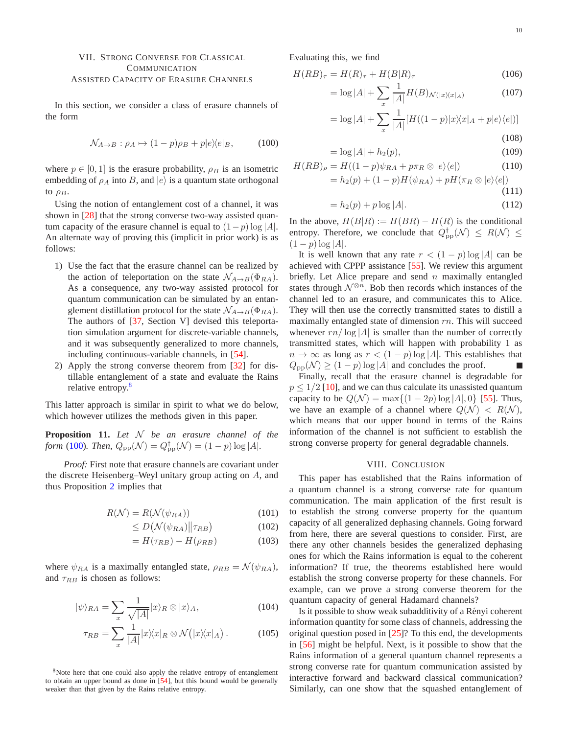# <span id="page-10-0"></span>VII. STRONG CONVERSE FOR CLASSICAL COMMUNICATION ASSISTED CAPACITY OF ERASURE CHANNELS

In this section, we consider a class of erasure channels of the form

$$
\mathcal{N}_{A \to B} : \rho_A \mapsto (1 - p)\rho_B + p|e\rangle\langle e|_B,\tag{100}
$$

where  $p \in [0, 1]$  is the erasure probability,  $\rho_B$  is an isometric embedding of  $\rho_A$  into B, and  $|e\rangle$  is a quantum state orthogonal to  $\rho_B$ .

Using the notion of entanglement cost of a channel, it was shown in [\[28\]](#page-12-22) that the strong converse two-way assisted quantum capacity of the erasure channel is equal to  $(1-p) \log |A|$ . An alternate way of proving this (implicit in prior work) is as follows:

- 1) Use the fact that the erasure channel can be realized by the action of teleportation on the state  $\mathcal{N}_{A\rightarrow B}(\Phi_{RA})$ . As a consequence, any two-way assisted protocol for quantum communication can be simulated by an entanglement distillation protocol for the state  $\mathcal{N}_{A\rightarrow B}(\Phi_{RA})$ . The authors of [\[37,](#page-12-31) Section V] devised this teleportation simulation argument for discrete-variable channels, and it was subsequently generalized to more channels, including continuous-variable channels, in [\[54\]](#page-13-7).
- 2) Apply the strong converse theorem from [\[32\]](#page-12-27) for distillable entanglement of a state and evaluate the Rains relative entropy.<sup>[8](#page-10-1)</sup>

This latter approach is similar in spirit to what we do below, which however utilizes the methods given in this paper.

**Proposition 11.** *Let* N *be an erasure channel of the form* [\(100\)](#page-10-2)*. Then,*  $Q_{\rm pp}(\mathcal{N}) = Q_{\rm pp}^{\dagger}(\mathcal{N}) = (1 - p) \log |A|$ *.* 

*Proof:* First note that erasure channels are covariant under the discrete Heisenberg–Weyl unitary group acting on A, and thus Proposition [2](#page-5-2) implies that

$$
R(\mathcal{N}) = R(\mathcal{N}(\psi_{RA})) \tag{101}
$$

$$
\leq D\big(\mathcal{N}(\psi_{RA})\big\|\tau_{RB}\big) \tag{102}
$$

$$
=H(\tau_{RB})-H(\rho_{RB})\tag{103}
$$

where  $\psi_{RA}$  is a maximally entangled state,  $\rho_{RB} = \mathcal{N}(\psi_{RA})$ , and  $\tau_{RB}$  is chosen as follows:

$$
|\psi\rangle_{RA} = \sum_{x} \frac{1}{\sqrt{|A|}} |x\rangle_R \otimes |x\rangle_A, \tag{104}
$$

$$
\tau_{RB} = \sum_{x} \frac{1}{|A|} |x\rangle\langle x|_{R} \otimes \mathcal{N}(|x\rangle\langle x|_{A}). \tag{105}
$$

<span id="page-10-1"></span><sup>8</sup>Note here that one could also apply the relative entropy of entanglement to obtain an upper bound as done in [\[54\]](#page-13-7), but this bound would be generally weaker than that given by the Rains relative entropy.

Evaluating this, we find

$$
H(RB)_{\tau} = H(R)_{\tau} + H(B|R)_{\tau}
$$
\n(106)

$$
= \log|A| + \sum_{x} \frac{1}{|A|} H(B)_{\mathcal{N}(|x\rangle\langle x|_{A})}
$$
(107)

$$
= \log|A| + \sum_{x} \frac{1}{|A|} [H((1-p)|x\rangle\langle x|_{A} + p|e\rangle\langle e|)]
$$

$$
(108)
$$

$$
= \log |A| + h_2(p), \tag{109}
$$

<span id="page-10-2"></span>
$$
H(RB)_{\rho} = H((1-p)\psi_{RA} + p\pi_R \otimes |e\rangle\langle e|)
$$
  
=  $h_2(p) + (1-p)H(\psi_{RA}) + pH(\pi_R \otimes |e\rangle\langle e|)$  (110)

$$
(111)
$$

$$
= h_2(p) + p \log |A|.
$$
 (112)

In the above,  $H(B|R) := H(BR) - H(R)$  is the conditional entropy. Therefore, we conclude that  $Q_{\rm pp}^{\dagger}(\mathcal{N}) \le R(\mathcal{N}) \le$  $(1-p)\log|A|$ .

It is well known that any rate  $r < (1 - p) \log |A|$  can be achieved with CPPP assistance [\[55\]](#page-13-8). We review this argument briefly. Let Alice prepare and send  $n$  maximally entangled states through  $\mathcal{N}^{\otimes n}$ . Bob then records which instances of the channel led to an erasure, and communicates this to Alice. They will then use the correctly transmitted states to distill a maximally entangled state of dimension  $rn$ . This will succeed whenever  $rn/\log|A|$  is smaller than the number of correctly transmitted states, which will happen with probability 1 as  $n \to \infty$  as long as  $r < (1 - p) \log |A|$ . This establishes that  $Q_{\text{pp}}(\mathcal{N}) \ge (1-p) \log |\mathcal{A}|$  and concludes the proof.

Finally, recall that the erasure channel is degradable for  $p \leq 1/2$  [\[10\]](#page-12-8), and we can thus calculate its unassisted quantum capacity to be  $Q(\mathcal{N}) = \max\{(1 - 2p) \log |A|, 0\}$  [\[55\]](#page-13-8). Thus, we have an example of a channel where  $Q(\mathcal{N}) < R(\mathcal{N}),$ which means that our upper bound in terms of the Rains information of the channel is not sufficient to establish the strong converse property for general degradable channels.

#### VIII. CONCLUSION

This paper has established that the Rains information of a quantum channel is a strong converse rate for quantum communication. The main application of the first result is to establish the strong converse property for the quantum capacity of all generalized dephasing channels. Going forward from here, there are several questions to consider. First, are there any other channels besides the generalized dephasing ones for which the Rains information is equal to the coherent information? If true, the theorems established here would establish the strong converse property for these channels. For example, can we prove a strong converse theorem for the quantum capacity of general Hadamard channels?

Is it possible to show weak subadditivity of a Rényi coherent information quantity for some class of channels, addressing the original question posed in [\[25\]](#page-12-19)? To this end, the developments in [\[56\]](#page-13-9) might be helpful. Next, is it possible to show that the Rains information of a general quantum channel represents a strong converse rate for quantum communication assisted by interactive forward and backward classical communication? Similarly, can one show that the squashed entanglement of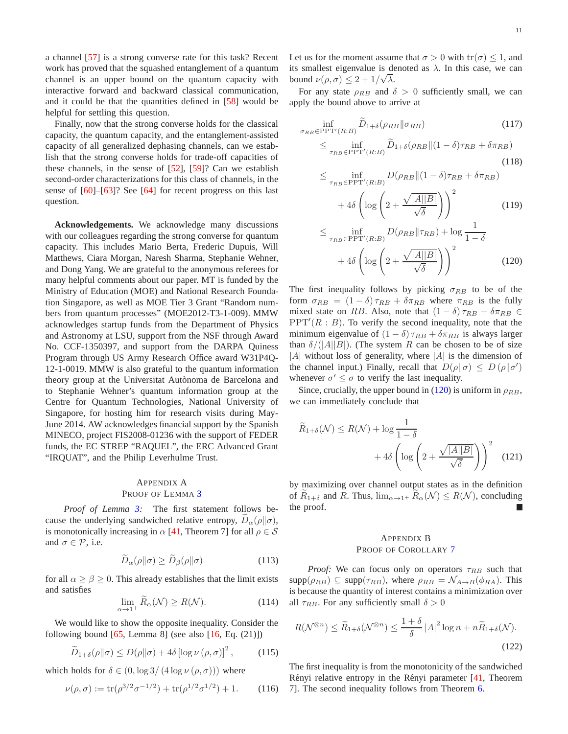a channel [\[57\]](#page-13-10) is a strong converse rate for this task? Recent work has proved that the squashed entanglement of a quantum channel is an upper bound on the quantum capacity with interactive forward and backward classical communication, and it could be that the quantities defined in [\[58\]](#page-13-11) would be helpful for settling this question.

Finally, now that the strong converse holds for the classical capacity, the quantum capacity, and the entanglement-assisted capacity of all generalized dephasing channels, can we establish that the strong converse holds for trade-off capacities of these channels, in the sense of [\[52\]](#page-13-5), [\[59\]](#page-13-12)? Can we establish second-order characterizations for this class of channels, in the sense of [\[60\]](#page-13-13)–[\[63\]](#page-13-14)? See [\[64\]](#page-13-15) for recent progress on this last question.

**Acknowledgements.** We acknowledge many discussions with our colleagues regarding the strong converse for quantum capacity. This includes Mario Berta, Frederic Dupuis, Will Matthews, Ciara Morgan, Naresh Sharma, Stephanie Wehner, and Dong Yang. We are grateful to the anonymous referees for many helpful comments about our paper. MT is funded by the Ministry of Education (MOE) and National Research Foundation Singapore, as well as MOE Tier 3 Grant "Random numbers from quantum processes" (MOE2012-T3-1-009). MMW acknowledges startup funds from the Department of Physics and Astronomy at LSU, support from the NSF through Award No. CCF-1350397, and support from the DARPA Quiness Program through US Army Research Office award W31P4Q-12-1-0019. MMW is also grateful to the quantum information theory group at the Universitat Autònoma de Barcelona and to Stephanie Wehner's quantum information group at the Centre for Quantum Technologies, National University of Singapore, for hosting him for research visits during May-June 2014. AW acknowledges financial support by the Spanish MINECO, project FIS2008-01236 with the support of FEDER funds, the EC STREP "RAQUEL", the ERC Advanced Grant "IRQUAT", and the Philip Leverhulme Trust.

# <span id="page-11-0"></span>APPENDIX A PROOF OF LEMMA [3](#page-6-7)

*Proof of Lemma [3:](#page-6-7)* The first statement follows because the underlying sandwiched relative entropy,  $D_{\alpha}(\rho||\sigma)$ , is monotonically increasing in  $\alpha$  [\[41,](#page-12-37) Theorem 7] for all  $\rho \in \mathcal{S}$ and  $\sigma \in \mathcal{P}$ , i.e.

$$
\widetilde{D}_{\alpha}(\rho \| \sigma) \ge \widetilde{D}_{\beta}(\rho \| \sigma)
$$
\n(113)

for all  $\alpha \geq \beta \geq 0$ . This already establishes that the limit exists and satisfies

$$
\lim_{\alpha \to 1^{+}} R_{\alpha}(\mathcal{N}) \ge R(\mathcal{N}). \tag{114}
$$

We would like to show the opposite inequality. Consider the following bound  $[65,$  Lemma 8] (see also  $[16,$  Eq.  $(21)]$ )

$$
\widetilde{D}_{1+\delta}(\rho||\sigma) \le D(\rho||\sigma) + 4\delta \left[\log \nu\left(\rho, \sigma\right)\right]^2,\tag{115}
$$

which holds for  $\delta \in (0, \log 3/(4 \log \nu(\rho, \sigma)))$  where

$$
\nu(\rho,\sigma) := \text{tr}(\rho^{3/2}\sigma^{-1/2}) + \text{tr}(\rho^{1/2}\sigma^{1/2}) + 1. \qquad (116)
$$

Let us for the moment assume that  $\sigma > 0$  with  $tr(\sigma) \leq 1$ , and its smallest eigenvalue is denoted as  $\lambda$ . In this case, we can bound  $\nu(\rho, \sigma) \leq 2 + 1/\sqrt{\lambda}$ .

For any state  $\rho_{RB}$  and  $\delta > 0$  sufficiently small, we can apply the bound above to arrive at

$$
\inf_{\sigma_{RB} \in \text{PPT}'(R:B)} \widetilde{D}_{1+\delta}(\rho_{RB} \| \sigma_{RB}) \tag{117}
$$
\n
$$
\leq \inf_{\tau_{RB} \in \text{PPT}'(R:B)} \widetilde{D}_{1+\delta}(\rho_{RB} \| (1-\delta)\tau_{RB} + \delta\pi_{RB}) \tag{118}
$$
\n
$$
\leq \inf_{\tau_{RB} \in \text{PPT}'(R:B)} D(\rho_{RB} \| (1-\delta)\tau_{RB} + \delta\pi_{RB})
$$
\n
$$
+ 4\delta \left( \log \left( 2 + \frac{\sqrt{|A||B|}}{\sqrt{2}} \right) \right)^2 \tag{119}
$$

<span id="page-11-2"></span>
$$
+4\delta \left( \log \left( 2 + \frac{\sqrt{|\mathcal{M}|}}{\sqrt{\delta}} \right) \right) \tag{119}
$$

$$
\leq \inf_{\tau_{RB} \in \text{PPT'}(R:B)} D(\rho_{RB} \|\tau_{RB}) + \log \frac{1}{1-\delta}
$$

$$
+4\delta \left( \log \left( 2 + \frac{\sqrt{|A||B|}}{\sqrt{\delta}} \right) \right)^2 \tag{120}
$$

The first inequality follows by picking  $\sigma_{RB}$  to be of the form  $\sigma_{RB} = (1 - \delta) \tau_{RB} + \delta \pi_{RB}$  where  $\pi_{RB}$  is the fully mixed state on RB. Also, note that  $(1 - \delta) \tau_{RB} + \delta \tau_{RB} \in$  $PPT'(R : B)$ . To verify the second inequality, note that the minimum eigenvalue of  $(1 - \delta) \tau_{RB} + \delta \pi_{RB}$  is always larger than  $\delta/(|A||B|)$ . (The system R can be chosen to be of size  $|A|$  without loss of generality, where  $|A|$  is the dimension of the channel input.) Finally, recall that  $D(\rho||\sigma) \le D(\rho||\sigma')$ whenever  $\sigma' \leq \sigma$  to verify the last inequality.

Since, crucially, the upper bound in [\(120\)](#page-11-2) is uniform in  $\rho_{RB}$ , we can immediately conclude that

$$
\widetilde{R}_{1+\delta}(\mathcal{N}) \le R(\mathcal{N}) + \log \frac{1}{1-\delta} + 4\delta \left( \log \left( 2 + \frac{\sqrt{|A||B|}}{\sqrt{\delta}} \right) \right)^2 \quad (121)
$$

by maximizing over channel output states as in the definition of  $R_{1+\delta}$  and R. Thus,  $\lim_{\alpha\to 1^+} R_{\alpha}(\mathcal{N}) \leq R(\mathcal{N})$ , concluding the proof.

#### <span id="page-11-3"></span><span id="page-11-1"></span>APPENDIX B PROOF OF COROLLARY [7](#page-8-7)

*Proof:* We can focus only on operators  $\tau_{RB}$  such that  $\text{supp}(\rho_{RB}) \subseteq \text{supp}(\tau_{RB}), \text{ where } \rho_{RB} = \mathcal{N}_{A\rightarrow B}(\phi_{RA}).$  This is because the quantity of interest contains a minimization over all  $\tau_{RB}$ . For any sufficiently small  $\delta > 0$ 

$$
R(\mathcal{N}^{\otimes n}) \le \widetilde{R}_{1+\delta}(\mathcal{N}^{\otimes n}) \le \frac{1+\delta}{\delta} |A|^2 \log n + n \widetilde{R}_{1+\delta}(\mathcal{N}).
$$
\n(122)

The first inequality is from the monotonicity of the sandwiched Rényi relative entropy in the Rényi parameter [\[41,](#page-12-37) Theorem 7]. The second inequality follows from Theorem [6.](#page-7-0)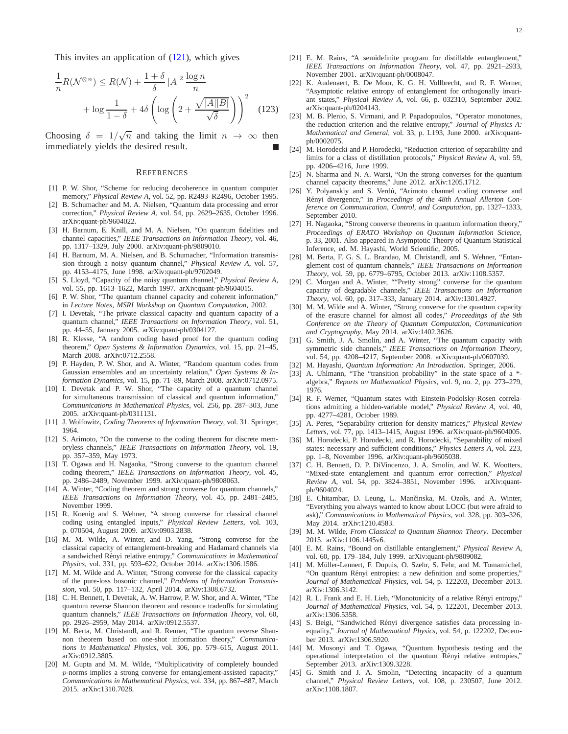This invites an application of  $(121)$ , which gives

$$
\frac{1}{n}R(\mathcal{N}^{\otimes n}) \le R(\mathcal{N}) + \frac{1+\delta}{\delta} |A|^2 \frac{\log n}{n} + \log \frac{1}{1-\delta} + 4\delta \left( \log \left( 2 + \frac{\sqrt{|A||B|}}{\sqrt{\delta}} \right) \right)^2 \tag{123}
$$

Choosing  $\delta = 1/\sqrt{n}$  and taking the limit  $n \to \infty$  then immediately yields the desired result.

#### **REFERENCES**

- <span id="page-12-0"></span>[1] P. W. Shor, "Scheme for reducing decoherence in quantum computer memory," *Physical Review A*, vol. 52, pp. R2493–R2496, October 1995.
- <span id="page-12-1"></span>[2] B. Schumacher and M. A. Nielsen, "Quantum data processing and error correction," *Physical Review A*, vol. 54, pp. 2629–2635, October 1996. arXiv:quant-ph/9604022.
- [3] H. Barnum, E. Knill, and M. A. Nielsen, "On quantum fidelities and channel capacities," *IEEE Transactions on Information Theory*, vol. 46, pp. 1317–1329, July 2000. arXiv:quant-ph/9809010.
- <span id="page-12-2"></span>[4] H. Barnum, M. A. Nielsen, and B. Schumacher, "Information transmission through a noisy quantum channel," *Physical Review A*, vol. 57, pp. 4153–4175, June 1998. arXiv:quant-ph/9702049.
- <span id="page-12-3"></span>[5] S. Lloyd, "Capacity of the noisy quantum channel," *Physical Review A*, vol. 55, pp. 1613–1622, March 1997. arXiv:quant-ph/9604015.
- <span id="page-12-7"></span>[6] P. W. Shor, "The quantum channel capacity and coherent information," in *Lecture Notes, MSRI Workshop on Quantum Computation*, 2002.
- <span id="page-12-4"></span>[7] I. Devetak, "The private classical capacity and quantum capacity of a quantum channel," *IEEE Transactions on Information Theory*, vol. 51, pp. 44–55, January 2005. arXiv:quant-ph/0304127.
- <span id="page-12-5"></span>[8] R. Klesse, "A random coding based proof for the quantum coding theorem," *Open Systems & Information Dynamics*, vol. 15, pp. 21–45, March 2008. arXiv:0712.2558.
- <span id="page-12-6"></span>[9] P. Hayden, P. W. Shor, and A. Winter, "Random quantum codes from Gaussian ensembles and an uncertainty relation," *Open Systems & Information Dynamics*, vol. 15, pp. 71–89, March 2008. arXiv:0712.0975.
- <span id="page-12-8"></span>[10] I. Devetak and P. W. Shor, "The capacity of a quantum channel for simultaneous transmission of classical and quantum information," *Communications in Mathematical Physics*, vol. 256, pp. 287–303, June 2005. arXiv:quant-ph/0311131.
- <span id="page-12-9"></span>[11] J. Wolfowitz, *Coding Theorems of Information Theory*, vol. 31. Springer, 1964.
- <span id="page-12-10"></span>[12] S. Arimoto, "On the converse to the coding theorem for discrete memoryless channels," *IEEE Transactions on Information Theory*, vol. 19, pp. 357–359, May 1973.
- <span id="page-12-11"></span>[13] T. Ogawa and H. Nagaoka, "Strong converse to the quantum channel coding theorem," *IEEE Transactions on Information Theory*, vol. 45, pp. 2486–2489, November 1999. arXiv:quant-ph/9808063.
- [14] A. Winter, "Coding theorem and strong converse for quantum channels," *IEEE Transactions on Information Theory*, vol. 45, pp. 2481–2485, November 1999.
- [15] R. Koenig and S. Wehner, "A strong converse for classical channel coding using entangled inputs," *Physical Review Letters*, vol. 103, p. 070504, August 2009. arXiv:0903.2838.
- <span id="page-12-36"></span>[16] M. M. Wilde, A. Winter, and D. Yang, "Strong converse for the classical capacity of entanglement-breaking and Hadamard channels via a sandwiched R´enyi relative entropy," *Communications in Mathematical Physics*, vol. 331, pp. 593–622, October 2014. arXiv:1306.1586.
- <span id="page-12-12"></span>[17] M. M. Wilde and A. Winter, "Strong converse for the classical capacity of the pure-loss bosonic channel," *Problems of Information Transmission*, vol. 50, pp. 117–132, April 2014. arXiv:1308.6732.
- <span id="page-12-13"></span>[18] C. H. Bennett, I. Devetak, A. W. Harrow, P. W. Shor, and A. Winter, "The quantum reverse Shannon theorem and resource tradeoffs for simulating quantum channels," *IEEE Transactions on Information Theory*, vol. 60, pp. 2926–2959, May 2014. arXiv:0912.5537.
- <span id="page-12-23"></span>[19] M. Berta, M. Christandl, and R. Renner, "The quantum reverse Shannon theorem based on one-shot information theory," *Communications in Mathematical Physics*, vol. 306, pp. 579–615, August 2011. arXiv:0912.3805.
- <span id="page-12-14"></span>[20] M. Gupta and M. M. Wilde, "Multiplicativity of completely bounded p-norms implies a strong converse for entanglement-assisted capacity," *Communications in Mathematical Physics*, vol. 334, pp. 867–887, March 2015. arXiv:1310.7028.
- <span id="page-12-15"></span>[21] E. M. Rains, "A semidefinite program for distillable entanglement," *IEEE Transactions on Information Theory*, vol. 47, pp. 2921–2933, November 2001. arXiv:quant-ph/0008047.
- <span id="page-12-16"></span>[22] K. Audenaert, B. De Moor, K. G. H. Vollbrecht, and R. F. Werner, "Asymptotic relative entropy of entanglement for orthogonally invariant states," *Physical Review A*, vol. 66, p. 032310, September 2002. arXiv:quant-ph/0204143.
- <span id="page-12-17"></span>[23] M. B. Plenio, S. Virmani, and P. Papadopoulos, "Operator monotones, the reduction criterion and the relative entropy," *Journal of Physics A: Mathematical and General*, vol. 33, p. L193, June 2000. arXiv:quantph/0002075.
- <span id="page-12-18"></span>[24] M. Horodecki and P. Horodecki, "Reduction criterion of separability and limits for a class of distillation protocols," *Physical Review A*, vol. 59, pp. 4206–4216, June 1999.
- <span id="page-12-19"></span>[25] N. Sharma and N. A. Warsi, "On the strong converses for the quantum channel capacity theorems," June 2012. arXiv:1205.1712.
- <span id="page-12-20"></span>[26] Y. Polyanskiy and S. Verdú, "Arimoto channel coding converse and Rényi divergence," in *Proceedings of the 48th Annual Allerton Conference on Communication, Control, and Computation*, pp. 1327–1333, September 2010.
- <span id="page-12-21"></span>[27] H. Nagaoka, "Strong converse theorems in quantum information theory," *Proceedings of ERATO Workshop on Quantum Information Science*, p. 33, 2001. Also appeared in Asymptotic Theory of Quantum Statistical Inference, ed. M. Hayashi, World Scientific, 2005.
- <span id="page-12-22"></span>[28] M. Berta, F. G. S. L. Brandao, M. Christandl, and S. Wehner, "Entanglement cost of quantum channels," *IEEE Transactions on Information Theory*, vol. 59, pp. 6779–6795, October 2013. arXiv:1108.5357.
- <span id="page-12-25"></span>[29] C. Morgan and A. Winter, ""Pretty strong" converse for the quantum capacity of degradable channels," *IEEE Transactions on Information Theory*, vol. 60, pp. 317–333, January 2014. arXiv:1301.4927.
- <span id="page-12-24"></span>[30] M. M. Wilde and A. Winter, "Strong converse for the quantum capacity of the erasure channel for almost all codes," *Proceedings of the 9th Conference on the Theory of Quantum Computation, Communication and Cryptography*, May 2014. arXiv:1402.3626.
- <span id="page-12-26"></span>[31] G. Smith, J. A. Smolin, and A. Winter, "The quantum capacity with symmetric side channels," *IEEE Transactions on Information Theory*, vol. 54, pp. 4208–4217, September 2008. arXiv:quant-ph/0607039.
- <span id="page-12-28"></span><span id="page-12-27"></span>[32] M. Hayashi, *Quantum Information: An Introduction*. Springer, 2006.
- [33] A. Uhlmann, "The "transition probability" in the state space of a  $*$ algebra," *Reports on Mathematical Physics*, vol. 9, no. 2, pp. 273–279, 1976.
- <span id="page-12-29"></span>[34] R. F. Werner, "Quantum states with Einstein-Podolsky-Rosen correlations admitting a hidden-variable model," *Physical Review A*, vol. 40, pp. 4277–4281, October 1989.
- <span id="page-12-30"></span>[35] A. Peres, "Separability criterion for density matrices," *Physical Review Letters*, vol. 77, pp. 1413–1415, August 1996. arXiv:quant-ph/9604005.
- <span id="page-12-33"></span>[36] M. Horodecki, P. Horodecki, and R. Horodecki, "Separability of mixed states: necessary and sufficient conditions," *Physics Letters A*, vol. 223, pp. 1–8, November 1996. arXiv:quant-ph/9605038.
- <span id="page-12-31"></span>[37] C. H. Bennett, D. P. DiVincenzo, J. A. Smolin, and W. K. Wootters, "Mixed-state entanglement and quantum error correction," *Physical Review A*, vol. 54, pp. 3824–3851, November 1996. arXiv:quantph/9604024.
- <span id="page-12-32"></span>[38] E. Chitambar, D. Leung, L. Mančinska, M. Ozols, and A. Winter, "Everything you always wanted to know about LOCC (but were afraid to ask)," *Communications in Mathematical Physics*, vol. 328, pp. 303–326, May 2014. arXiv:1210.4583.
- <span id="page-12-34"></span>[39] M. M. Wilde, *From Classical to Quantum Shannon Theory*. December 2015. arXiv:1106.1445v6.
- <span id="page-12-35"></span>[40] E. M. Rains, "Bound on distillable entanglement," *Physical Review A*, vol. 60, pp. 179–184, July 1999. arXiv:quant-ph/9809082.
- <span id="page-12-37"></span>[41] M. Müller-Lennert, F. Dupuis, O. Szehr, S. Fehr, and M. Tomamichel, "On quantum Rényi entropies: a new definition and some properties," *Journal of Mathematical Physics*, vol. 54, p. 122203, December 2013. arXiv:1306.3142.
- <span id="page-12-38"></span>[42] R. L. Frank and E. H. Lieb, "Monotonicity of a relative Rényi entropy," *Journal of Mathematical Physics*, vol. 54, p. 122201, December 2013. arXiv:1306.5358.
- [43] S. Beigi, "Sandwiched Rényi divergence satisfies data processing inequality," *Journal of Mathematical Physics*, vol. 54, p. 122202, December 2013. arXiv:1306.5920.
- <span id="page-12-39"></span>[44] M. Mosonyi and T. Ogawa, "Quantum hypothesis testing and the operational interpretation of the quantum Rényi relative entropies," September 2013. arXiv:1309.3228.
- <span id="page-12-40"></span>[45] G. Smith and J. A. Smolin, "Detecting incapacity of a quantum channel," *Physical Review Letters*, vol. 108, p. 230507, June 2012. arXiv:1108.1807.